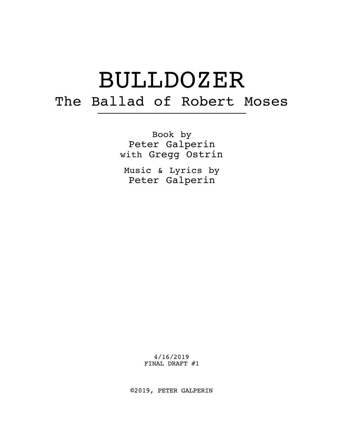# BULLDOZER The Ballad of Robert Moses –––––––––––––––––––––––––––––––––

Book by Peter Galperin with Gregg Ostrin

Music & Lyrics by Peter Galperin

> 4/16/2019 FINAL DRAFT #1

©2019, PETER GALPERIN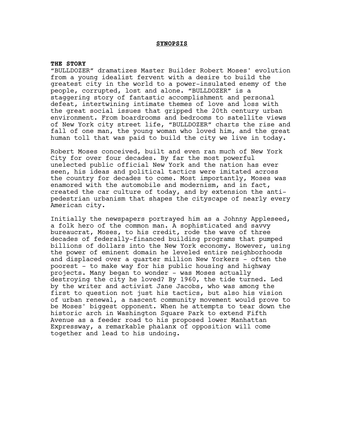# **SYNOPSIS**

#### **THE STORY**

"BULLDOZER" dramatizes Master Builder Robert Moses' evolution from a young idealist fervent with a desire to build the greatest city in the world to a power-insulated enemy of the people, corrupted, lost and alone. "BULLDOZER" is a staggering story of fantastic accomplishment and personal defeat, intertwining intimate themes of love and loss with the great social issues that gripped the 20th century urban environment. From boardrooms and bedrooms to satellite views of New York city street life, "BULLDOZER" charts the rise and fall of one man, the young woman who loved him, and the great human toll that was paid to build the city we live in today.

Robert Moses conceived, built and even ran much of New York City for over four decades. By far the most powerful unelected public official New York and the nation has ever seen, his ideas and political tactics were imitated across the country for decades to come. Most importantly, Moses was enamored with the automobile and modernism, and in fact, created the car culture of today, and by extension the antipedestrian urbanism that shapes the cityscape of nearly every American city.

Initially the newspapers portrayed him as a Johnny Appleseed, a folk hero of the common man. A sophisticated and savvy bureaucrat, Moses, to his credit, rode the wave of three decades of federally-financed building programs that pumped billions of dollars into the New York economy. However, using the power of eminent domain he leveled entire neighborhoods and displaced over a quarter million New Yorkers - often the poorest - to make way for his public housing and highway projects. Many began to wonder - was Moses actually destroying the city he loved? By 1960, the tide turned. Led by the writer and activist Jane Jacobs, who was among the first to question not just his tactics, but also his vision of urban renewal, a nascent community movement would prove to be Moses' biggest opponent. When he attempts to tear down the historic arch in Washington Square Park to extend Fifth Avenue as a feeder road to his proposed lower Manhattan Expressway, a remarkable phalanx of opposition will come together and lead to his undoing.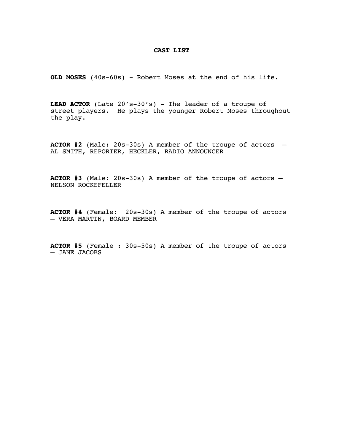# **CAST LIST**

**OLD MOSES** (40s-60s) - Robert Moses at the end of his life.

**LEAD ACTOR** (Late 20's-30's) - The leader of a troupe of street players. He plays the younger Robert Moses throughout the play.

**ACTOR #2** (Male: 20s-30s) A member of the troupe of actors – AL SMITH, REPORTER, HECKLER, RADIO ANNOUNCER

**ACTOR #3** (Male: 20s-30s) A member of the troupe of actors – NELSON ROCKEFELLER

**ACTOR #4** (Female: 20s-30s) A member of the troupe of actors – VERA MARTIN, BOARD MEMBER

**ACTOR #5** (Female : 30s-50s) A member of the troupe of actors – JANE JACOBS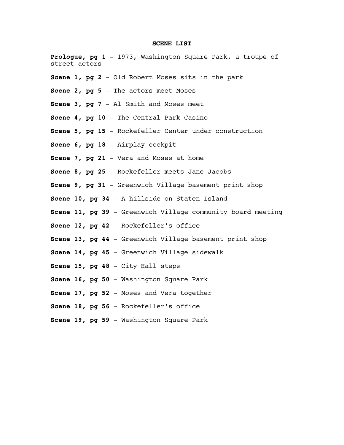## **SCENE LIST**

**Prologue, pg 1** – 1973, Washington Square Park, a troupe of street actors **Scene 1, pg 2** – Old Robert Moses sits in the park **Scene 2, pg 5** – The actors meet Moses **Scene 3, pg 7** – Al Smith and Moses meet **Scene 4, pg 10** – The Central Park Casino **Scene 5, pg 15** – Rockefeller Center under construction **Scene 6, pg 18** – Airplay cockpit **Scene 7, pg 21** – Vera and Moses at home **Scene 8, pg 25** – Rockefeller meets Jane Jacobs **Scene 9, pg 31** – Greenwich Village basement print shop **Scene 10, pg 34** – A hillside on Staten Island **Scene 11, pg 39** – Greenwich Village community board meeting **Scene 12, pg 42** – Rockefeller's office **Scene 13, pg 44** – Greenwich Village basement print shop **Scene 14, pg 45** – Greenwich Village sidewalk **Scene 15, pg 48** – City Hall steps **Scene 16, pg 50** – Washington Square Park **Scene 17, pg 52** – Moses and Vera together **Scene 18, pg 56** – Rockefeller's office **Scene 19, pg 59** – Washington Square Park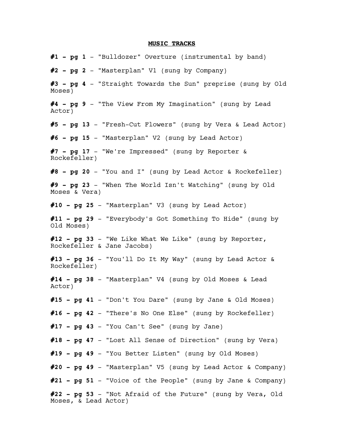## **MUSIC TRACKS**

**#1 - pg 1** – "Bulldozer" Overture (instrumental by band) **#2 - pg 2** – "Masterplan" V1 (sung by Company) **#3 - pg 4** – "Straight Towards the Sun" preprise (sung by Old Moses) **#4 - pg 9** – "The View From My Imagination" (sung by Lead Actor) **#5 - pg 13** – "Fresh-Cut Flowers" (sung by Vera & Lead Actor) **#6 - pg 15** – "Masterplan" V2 (sung by Lead Actor) **#7 - pg 17** – "We're Impressed" (sung by Reporter & Rockefeller) **#8 - pg 20** – "You and I" (sung by Lead Actor & Rockefeller) **#9 - pg 23** – "When The World Isn't Watching" (sung by Old Moses & Vera) **#10 - pg 25** – "Masterplan" V3 (sung by Lead Actor) **#11 - pg 29** – "Everybody's Got Something To Hide" (sung by Old Moses) **#12 - pg 33** – "We Like What We Like" (sung by Reporter, Rockefeller & Jane Jacobs) **#13 - pg 36** – "You'll Do It My Way" (sung by Lead Actor & Rockefeller) **#14 - pg 38** – "Masterplan" V4 (sung by Old Moses & Lead Actor) **#15 - pg 41** – "Don't You Dare" (sung by Jane & Old Moses) **#16 - pg 42** – "There's No One Else" (sung by Rockefeller) **#17 - pg 43** – "You Can't See" (sung by Jane) **#18 - pg 47** – "Lost All Sense of Direction" (sung by Vera) **#19 - pg 49** – "You Better Listen" (sung by Old Moses) **#20 - pg 49** – "Masterplan" V5 (sung by Lead Actor & Company) **#21 - pg 51** – "Voice of the People" (sung by Jane & Company) **#22 - pg 53** – "Not Afraid of the Future" (sung by Vera, Old Moses, & Lead Actor)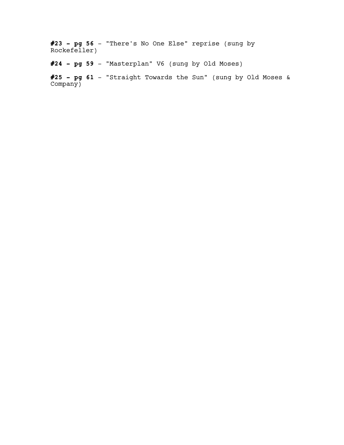**#23 - pg 56** – "There's No One Else" reprise (sung by Rockefeller)

**#24 - pg 59** – "Masterplan" V6 (sung by Old Moses)

**#25 - pg 61** – "Straight Towards the Sun" (sung by Old Moses & Company)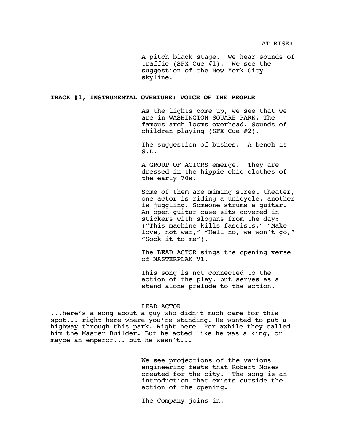AT RISE:

A pitch black stage. We hear sounds of traffic (SFX Cue #1). We see the suggestion of the New York City skyline.

## **TRACK #1, INSTRUMENTAL OVERTURE: VOICE OF THE PEOPLE**

As the lights come up, we see that we are in WASHINGTON SQUARE PARK. The famous arch looms overhead. Sounds of children playing (SFX Cue #2).

The suggestion of bushes. A bench is S.L.

A GROUP OF ACTORS emerge. They are dressed in the hippie chic clothes of the early 70s.

Some of them are miming street theater, one actor is riding a unicycle, another is juggling. Someone strums a guitar. An open guitar case sits covered in stickers with slogans from the day: ("This machine kills fascists," "Make love, not war," "Hell no, we won't go," "Sock it to me").

The LEAD ACTOR sings the opening verse of MASTERPLAN V1.

This song is not connected to the action of the play, but serves as a stand alone prelude to the action.

## LEAD ACTOR

...here's a song about a guy who didn't much care for this spot... right here where you're standing. He wanted to put a highway through this park. Right here! For awhile they called him the Master Builder. But he acted like he was a king, or maybe an emperor... but he wasn't...

> We see projections of the various engineering feats that Robert Moses created for the city. The song is an introduction that exists outside the action of the opening.

The Company joins in.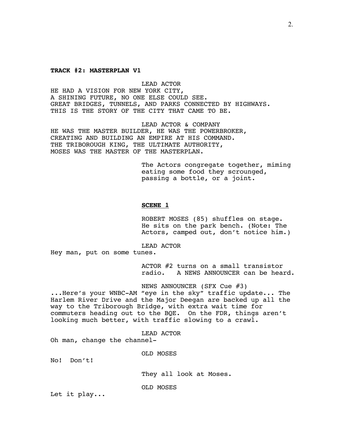#### **TRACK #2: MASTERPLAN V1**

LEAD ACTOR HE HAD A VISION FOR NEW YORK CITY, A SHINING FUTURE, NO ONE ELSE COULD SEE. GREAT BRIDGES, TUNNELS, AND PARKS CONNECTED BY HIGHWAYS. THIS IS THE STORY OF THE CITY THAT CAME TO BE.

LEAD ACTOR & COMPANY HE WAS THE MASTER BUILDER, HE WAS THE POWERBROKER, CREATING AND BUILDING AN EMPIRE AT HIS COMMAND. THE TRIBOROUGH KING, THE ULTIMATE AUTHORITY, MOSES WAS THE MASTER OF THE MASTERPLAN.

> The Actors congregate together, miming eating some food they scrounged, passing a bottle, or a joint.

# **SCENE 1**

ROBERT MOSES (85) shuffles on stage. He sits on the park bench. (Note: The Actors, camped out, don't notice him.)

LEAD ACTOR

Hey man, put on some tunes.

ACTOR #2 turns on a small transistor radio. A NEWS ANNOUNCER can be heard.

NEWS ANNOUNCER (SFX Cue #3) ...Here's your WNBC-AM "eye in the sky" traffic update... The Harlem River Drive and the Major Deegan are backed up all the way to the Triborough Bridge, with extra wait time for commuters heading out to the BQE. On the FDR, things aren't looking much better, with traffic slowing to a crawl.

LEAD ACTOR

Oh man, change the channel-

OLD MOSES

No! Don't!

They all look at Moses.

OLD MOSES

Let it play...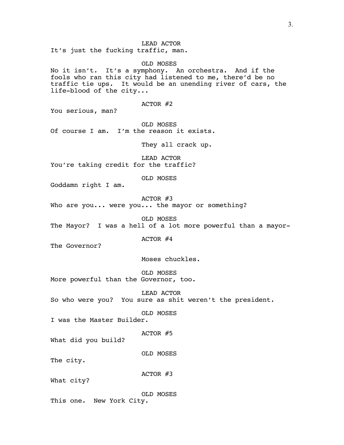It's just the fucking traffic, man.

OLD MOSES No it isn't. It's a symphony. An orchestra. And if the fools who ran this city had listened to me, there'd be no traffic tie ups. It would be an unending river of cars, the life-blood of the city... ACTOR #2 You serious, man? OLD MOSES Of course I am. I'm the reason it exists. They all crack up. LEAD ACTOR You're taking credit for the traffic? OLD MOSES Goddamn right I am. ACTOR #3 Who are you... were you... the mayor or something? OLD MOSES The Mayor? I was a hell of a lot more powerful than a mayor-ACTOR #4 The Governor? Moses chuckles. OLD MOSES More powerful than the Governor, too.

LEAD ACTOR So who were you? You sure as shit weren't the president.

OLD MOSES

I was the Master Builder.

ACTOR #5

What did you build?

OLD MOSES

The city.

ACTOR #3

What city?

OLD MOSES This one. New York City.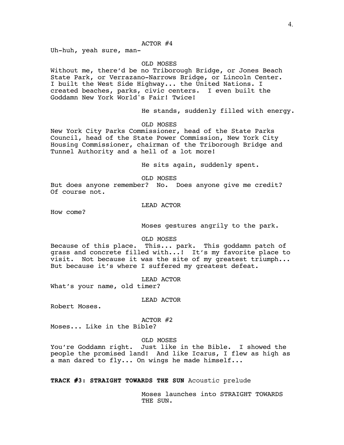# ACTOR #4

Uh-huh, yeah sure, man-

## OLD MOSES

Without me, there'd be no Triborough Bridge, or Jones Beach State Park, or Verrazano-Narrows Bridge, or Lincoln Center. I built the West Side Highway... the United Nations. I created beaches, parks, civic centers. I even built the Goddamn New York World's Fair! Twice!

He stands, suddenly filled with energy.

OLD MOSES

New York City Parks Commissioner, head of the State Parks Council, head of the State Power Commission, New York City Housing Commissioner, chairman of the Triborough Bridge and Tunnel Authority and a hell of a lot more!

He sits again, suddenly spent.

OLD MOSES

But does anyone remember? No. Does anyone give me credit? Of course not.

LEAD ACTOR

How come?

Moses gestures angrily to the park.

OLD MOSES

Because of this place. This... park. This goddamn patch of grass and concrete filled with...! It's my favorite place to visit. Not because it was the site of my greatest triumph... But because it's where I suffered my greatest defeat.

LEAD ACTOR

What's your name, old timer?

LEAD ACTOR

Robert Moses.

ACTOR #2

Moses... Like in the Bible?

OLD MOSES

You're Goddamn right. Just like in the Bible. I showed the people the promised land! And like Icarus, I flew as high as a man dared to fly... On wings he made himself...

**TRACK #3: STRAIGHT TOWARDS THE SUN** Acoustic prelude

Moses launches into STRAIGHT TOWARDS THE SUN.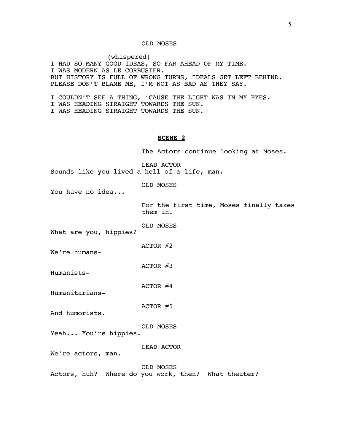# OLD MOSES

(whispered) I HAD SO MANY GOOD IDEAS, SO FAR AHEAD OF MY TIME. I WAS MODERN AS LE CORBUSIER. BUT HISTORY IS FULL OF WRONG TURNS, IDEALS GET LEFT BEHIND. PLEASE DON'T BLAME ME, I'M NOT AS BAD AS THEY SAY.

I COULDN'T SEE A THING, 'CAUSE THE LIGHT WAS IN MY EYES. I WAS HEADING STRAIGHT TOWARDS THE SUN. I WAS HEADING STRAIGHT TOWARDS THE SUN.

## **SCENE 2**

The Actors continue looking at Moses.

LEAD ACTOR Sounds like you lived a hell of a life, man.

OLD MOSES

You have no idea...

For the first time, Moses finally takes them in.

OLD MOSES

What are you, hippies?

ACTOR #2

We're humans-

ACTOR #3

Humanists-

Humanitarians-

ACTOR #4

ACTOR #5

And humorists.

OLD MOSES

Yeah... You're hippies.

LEAD ACTOR

We're actors, man.

OLD MOSES

Actors, huh? Where do you work, then? What theater?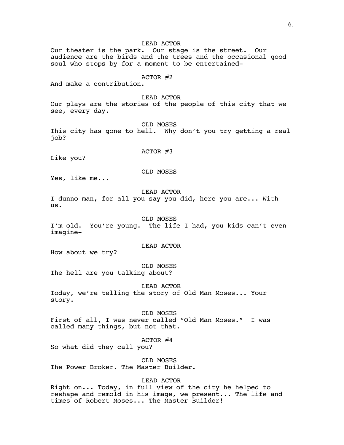LEAD ACTOR Our theater is the park. Our stage is the street. Our audience are the birds and the trees and the occasional good soul who stops by for a moment to be entertained-ACTOR #2 And make a contribution. LEAD ACTOR Our plays are the stories of the people of this city that we see, every day. OLD MOSES This city has gone to hell. Why don't you try getting a real job? ACTOR #3 Like you? OLD MOSES Yes, like me... LEAD ACTOR I dunno man, for all you say you did, here you are... With us. OLD MOSES I'm old. You're young. The life I had, you kids can't even imagine-LEAD ACTOR How about we try? OLD MOSES The hell are you talking about? LEAD ACTOR Today, we're telling the story of Old Man Moses... Your story. OLD MOSES First of all, I was never called "Old Man Moses." I was called many things, but not that. ACTOR #4 So what did they call you? OLD MOSES The Power Broker. The Master Builder. LEAD ACTOR Right on... Today, in full view of the city he helped to reshape and remold in his image, we present... The life and times of Robert Moses... The Master Builder!

6.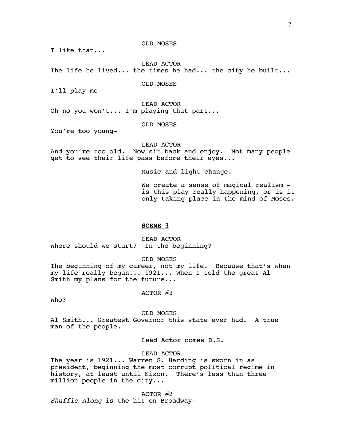I like that...

LEAD ACTOR The life he lived... the times he had... the city he built...

OLD MOSES

OLD MOSES

I'll play me-

LEAD ACTOR

Oh no you won't... I'm playing that part...

OLD MOSES

You're too young-

LEAD ACTOR

And you're too old. Now sit back and enjoy. Not many people get to see their life pass before their eyes...

Music and light change.

We create a sense of magical realism is this play really happening, or is it only taking place in the mind of Moses.

## **SCENE 3**

LEAD ACTOR Where should we start? In the beginning?

OLD MOSES

The beginning of my career, not my life. Because that's when my life really began... 1921... When I told the great Al Smith my plans for the future...

ACTOR #3

Who?

OLD MOSES

Al Smith... Greatest Governor this state ever had. A true man of the people.

Lead Actor comes D.S.

LEAD ACTOR

The year is 1921... Warren G. Harding is sworn in as president, beginning the most corrupt political regime in history, at least until Nixon. There's less than three million people in the city...

ACTOR #2

*Shuffle Along* is the hit on Broadway-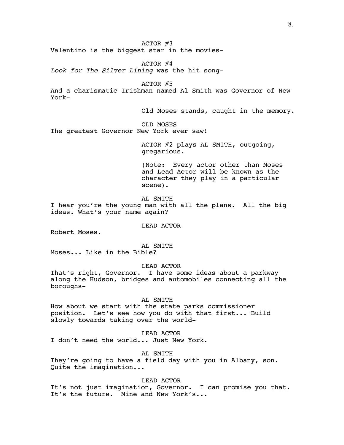ACTOR #3 Valentino is the biggest star in the movies-

ACTOR #4 *Look for The Silver Lining* was the hit song-

ACTOR #5 And a charismatic Irishman named Al Smith was Governor of New

Old Moses stands, caught in the memory.

OLD MOSES The greatest Governor New York ever saw!

> ACTOR #2 plays AL SMITH, outgoing, gregarious.

(Note: Every actor other than Moses and Lead Actor will be known as the character they play in a particular scene).

AL SMITH

I hear you're the young man with all the plans. All the big ideas. What's your name again?

LEAD ACTOR

Robert Moses.

York-

AL SMITH

Moses... Like in the Bible?

LEAD ACTOR

That's right, Governor. I have some ideas about a parkway along the Hudson, bridges and automobiles connecting all the boroughs-

AL SMITH

How about we start with the state parks commissioner position. Let's see how you do with that first... Build slowly towards taking over the world-

LEAD ACTOR I don't need the world... Just New York.

AL SMITH They're going to have a field day with you in Albany, son. Quite the imagination...

LEAD ACTOR It's not just imagination, Governor. I can promise you that. It's the future. Mine and New York's...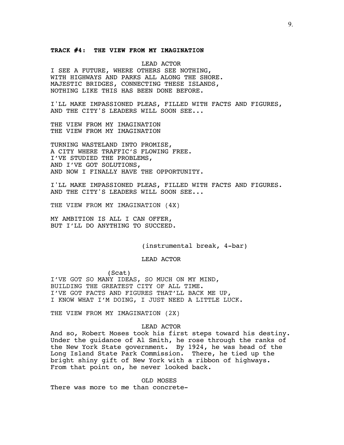# **TRACK #4: THE VIEW FROM MY IMAGINATION**

LEAD ACTOR I SEE A FUTURE, WHERE OTHERS SEE NOTHING, WITH HIGHWAYS AND PARKS ALL ALONG THE SHORE. MAJESTIC BRIDGES, CONNECTING THESE ISLANDS, NOTHING LIKE THIS HAS BEEN DONE BEFORE.

I'LL MAKE IMPASSIONED PLEAS, FILLED WITH FACTS AND FIGURES, AND THE CITY'S LEADERS WILL SOON SEE...

THE VIEW FROM MY IMAGINATION THE VIEW FROM MY IMAGINATION

TURNING WASTELAND INTO PROMISE, A CITY WHERE TRAFFIC'S FLOWING FREE. I'VE STUDIED THE PROBLEMS, AND I'VE GOT SOLUTIONS, AND NOW I FINALLY HAVE THE OPPORTUNITY.

I'LL MAKE IMPASSIONED PLEAS, FILLED WITH FACTS AND FIGURES. AND THE CITY'S LEADERS WILL SOON SEE...

THE VIEW FROM MY IMAGINATION (4X)

MY AMBITION IS ALL I CAN OFFER, BUT I'LL DO ANYTHING TO SUCCEED.

(instrumental break, 4-bar)

LEAD ACTOR

(Scat) I'VE GOT SO MANY IDEAS, SO MUCH ON MY MIND, BUILDING THE GREATEST CITY OF ALL TIME. I'VE GOT FACTS AND FIGURES THAT'LL BACK ME UP, I KNOW WHAT I'M DOING, I JUST NEED A LITTLE LUCK.

THE VIEW FROM MY IMAGINATION (2X)

# LEAD ACTOR

And so, Robert Moses took his first steps toward his destiny. Under the guidance of Al Smith, he rose through the ranks of the New York State government. By 1924, he was head of the Long Island State Park Commission. There, he tied up the bright shiny gift of New York with a ribbon of highways. From that point on, he never looked back.

OLD MOSES There was more to me than concrete-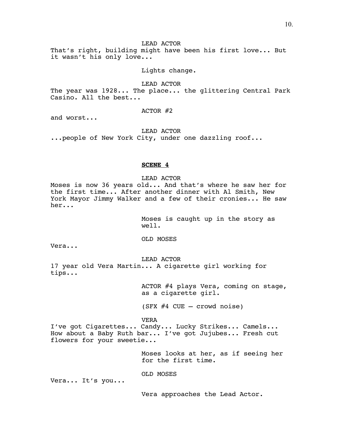# LEAD ACTOR

That's right, building might have been his first love... But it wasn't his only love...

Lights change.

LEAD ACTOR The year was 1928... The place... the glittering Central Park Casino. All the best...

ACTOR #2

and worst...

LEAD ACTOR

...people of New York City, under one dazzling roof...

# **SCENE 4**

LEAD ACTOR

Moses is now 36 years old... And that's where he saw her for the first time... After another dinner with Al Smith, New York Mayor Jimmy Walker and a few of their cronies... He saw her...

> Moses is caught up in the story as well.

OLD MOSES

Vera...

LEAD ACTOR 17 year old Vera Martin... A cigarette girl working for tips...

> ACTOR #4 plays Vera, coming on stage, as a cigarette girl.

(SFX #4 CUE – crowd noise)

VERA

I've got Cigarettes... Candy... Lucky Strikes... Camels... How about a Baby Ruth bar... I've got Jujubes... Fresh cut flowers for your sweetie...

> Moses looks at her, as if seeing her for the first time.

OLD MOSES

Vera... It's you...

Vera approaches the Lead Actor.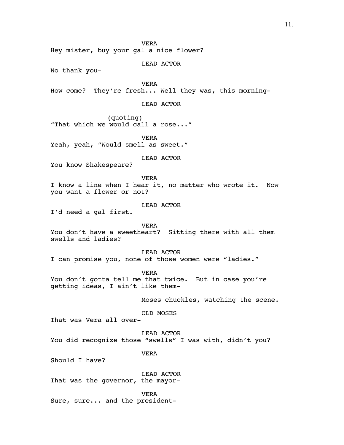11.

VERA Hey mister, buy your gal a nice flower? LEAD ACTOR No thank you-VERA How come? They're fresh... Well they was, this morning-LEAD ACTOR (quoting) "That which we would call a rose..." VERA Yeah, yeah, "Would smell as sweet." LEAD ACTOR You know Shakespeare? VERA I know a line when I hear it, no matter who wrote it. Now you want a flower or not? LEAD ACTOR I'd need a gal first. VERA You don't have a sweetheart? Sitting there with all them swells and ladies? LEAD ACTOR I can promise you, none of those women were "ladies." VERA You don't gotta tell me that twice. But in case you're getting ideas, I ain't like them-Moses chuckles, watching the scene. OLD MOSES That was Vera all over-

LEAD ACTOR You did recognize those "swells" I was with, didn't you?

VERA

Should I have?

LEAD ACTOR That was the governor, the mayor-

VERA Sure, sure... and the president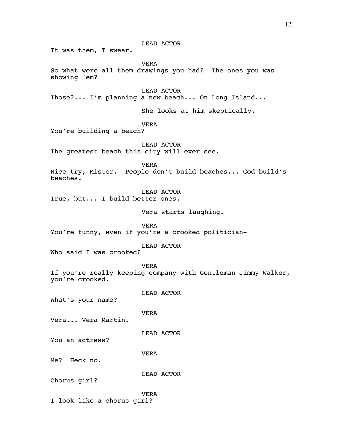LEAD ACTOR

It was them, I swear.

VERA So what were all them drawings you had? The ones you was showing `em?

LEAD ACTOR

Those?... I'm planning a new beach... On Long Island...

She looks at him skeptically.

VERA

You're building a beach?

LEAD ACTOR The greatest beach this city will ever see.

VERA

Nice try, Mister. People don't build beaches... God build's beaches.

LEAD ACTOR

True, but... I build better ones.

Vera starts laughing.

VERA

You're funny, even if you're a crooked politician-

LEAD ACTOR

Who said I was crooked?

VERA

If you're really keeping company with Gentleman Jimmy Walker, you're crooked.

LEAD ACTOR

What's your name?

VERA

Vera... Vera Martin.

LEAD ACTOR

You an actress?

VERA

Me? Heck no.

LEAD ACTOR

Chorus girl?

VERA

I look like a chorus girl?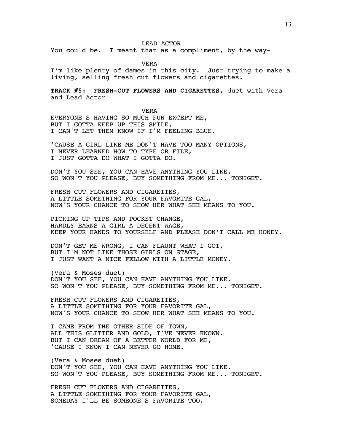LEAD ACTOR

You could be. I meant that as a compliment, by the way-

VERA

I'm like plenty of dames in this city. Just trying to make a living, selling fresh cut flowers and cigarettes.

**TRACK #5: FRESH-CUT FLOWERS AND CIGARETTES,** duet with Vera and Lead Actor

VERA EVERYONE'S HAVING SO MUCH FUN EXCEPT ME, BUT I GOTTA KEEP UP THIS SMILE, I CAN'T LET THEM KNOW IF I'M FEELING BLUE.

'CAUSE A GIRL LIKE ME DON'T HAVE TOO MANY OPTIONS, I NEVER LEARNED HOW TO TYPE OR FILE, I JUST GOTTA DO WHAT I GOTTA DO.

DON'T YOU SEE, YOU CAN HAVE ANYTHING YOU LIKE. SO WON'T YOU PLEASE, BUY SOMETHING FROM ME... TONIGHT.

FRESH CUT FLOWERS AND CIGARETTES, A LITTLE SOMETHING FOR YOUR FAVORITE GAL, NOW'S YOUR CHANCE TO SHOW HER WHAT SHE MEANS TO YOU.

PICKING UP TIPS AND POCKET CHANGE, HARDLY EARNS A GIRL A DECENT WAGE, KEEP YOUR HANDS TO YOURSELF AND PLEASE DON'T CALL ME HONEY.

DON'T GET ME WRONG, I CAN FLAUNT WHAT I GOT, BUT I'M NOT LIKE THOSE GIRLS ON STAGE, I JUST WANT A NICE FELLOW WITH A LITTLE MONEY.

(Vera & Moses duet) DON'T YOU SEE, YOU CAN HAVE ANYTHING YOU LIKE. SO WON'T YOU PLEASE, BUY SOMETHING FROM ME... TONIGHT.

FRESH CUT FLOWERS AND CIGARETTES, A LITTLE SOMETHING FOR YOUR FAVORITE GAL, NOW'S YOUR CHANCE TO SHOW HER WHAT SHE MEANS TO YOU.

I CAME FROM THE OTHER SIDE OF TOWN, ALL THIS GLITTER AND GOLD, I'VE NEVER KNOWN. BUT I CAN DREAM OF A BETTER WORLD FOR ME, 'CAUSE I KNOW I CAN NEVER GO HOME.

(Vera & Moses duet) DON'T YOU SEE, YOU CAN HAVE ANYTHING YOU LIKE. SO WON'T YOU PLEASE, BUY SOMETHING FROM ME... TONIGHT.

FRESH CUT FLOWERS AND CIGARETTES, A LITTLE SOMETHING FOR YOUR FAVORITE GAL, SOMEDAY I'LL BE SOMEONE'S FAVORITE TOO.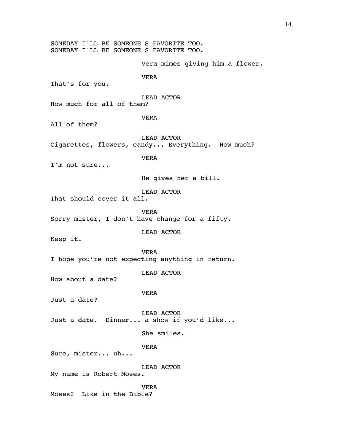SOMEDAY I'LL BE SOMEONE'S FAVORITE TOO. SOMEDAY I'LL BE SOMEONE'S FAVORITE TOO. Vera mimes giving him a flower. VERA That's for you. LEAD ACTOR How much for all of them? VERA All of them? LEAD ACTOR Cigarettes, flowers, candy... Everything. How much? VERA I'm not sure... He gives her a bill. LEAD ACTOR That should cover it all. VERA Sorry mister, I don't have change for a fifty. LEAD ACTOR Keep it. VERA I hope you're not expecting anything in return. LEAD ACTOR How about a date? VERA Just a date? LEAD ACTOR Just a date. Dinner... a show if you'd like... She smiles. VERA Sure, mister... uh... LEAD ACTOR My name is Robert Moses. VERA Moses? Like in the Bible?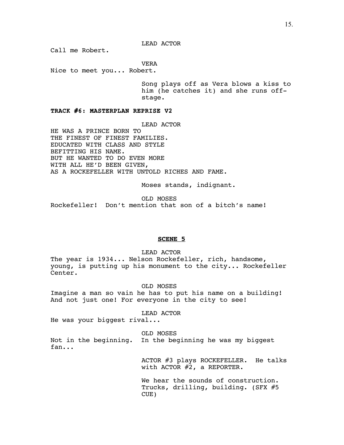LEAD ACTOR

Call me Robert.

VERA

Nice to meet you... Robert.

Song plays off as Vera blows a kiss to him (he catches it) and she runs offstage.

**TRACK #6: MASTERPLAN REPRISE V2**

LEAD ACTOR

HE WAS A PRINCE BORN TO THE FINEST OF FINEST FAMILIES. EDUCATED WITH CLASS AND STYLE BEFITTING HIS NAME. BUT HE WANTED TO DO EVEN MORE WITH ALL HE'D BEEN GIVEN, AS A ROCKEFELLER WITH UNTOLD RICHES AND FAME.

Moses stands, indignant.

OLD MOSES

Rockefeller! Don't mention that son of a bitch's name!

# **SCENE 5**

LEAD ACTOR

The year is 1934... Nelson Rockefeller, rich, handsome, young, is putting up his monument to the city... Rockefeller Center.

OLD MOSES

Imagine a man so vain he has to put his name on a building! And not just one! For everyone in the city to see!

LEAD ACTOR

He was your biggest rival...

OLD MOSES Not in the beginning. In the beginning he was my biggest fan...

> ACTOR #3 plays ROCKEFELLER. He talks with ACTOR #2, a REPORTER.

We hear the sounds of construction. Trucks, drilling, building. (SFX #5 CUE)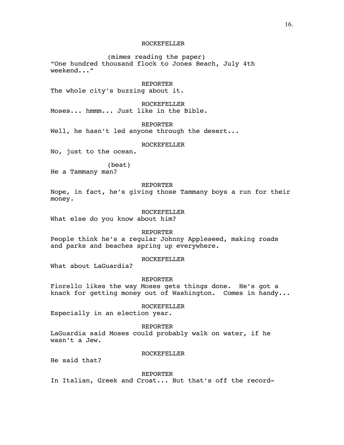# ROCKEFELLER

(mimes reading the paper) "One hundred thousand flock to Jones Beach, July 4th weekend..."

REPORTER

The whole city's buzzing about it.

ROCKEFELLER Moses... hmmm... Just like in the Bible.

REPORTER

Well, he hasn't led anyone through the desert...

## ROCKEFELLER

No, just to the ocean.

(beat)

He a Tammany man?

REPORTER

Nope, in fact, he's giving those Tammany boys a run for their money.

ROCKEFELLER

What else do you know about him?

REPORTER

People think he's a regular Johnny Appleseed, making roads and parks and beaches spring up everywhere.

# ROCKEFELLER

What about LaGuardia?

REPORTER

Fiorello likes the way Moses gets things done. He's got a knack for getting money out of Washington. Comes in handy...

ROCKEFELLER

Especially in an election year.

REPORTER LaGuardia said Moses could probably walk on water, if he wasn't a Jew.

# ROCKEFELLER

He said that?

REPORTER

In Italian, Greek and Croat... But that's off the record-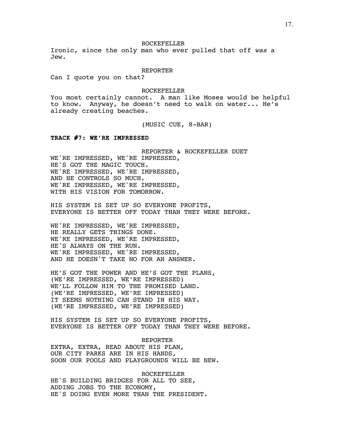ROCKEFELLER

Ironic, since the only man who ever pulled that off *was* a Jew.

REPORTER

Can I quote you on that?

ROCKEFELLER

You most certainly cannot. A man like Moses would be helpful to know. Anyway, he doesn't need to walk on water... He's already creating beaches.

(MUSIC CUE, 8-BAR)

#### **TRACK #7: WE'RE IMPRESSED**

REPORTER & ROCKEFELLER DUET WE'RE IMPRESSED, WE'RE IMPRESSED, HE'S GOT THE MAGIC TOUCH. WE'RE IMPRESSED, WE'RE IMPRESSED, AND HE CONTROLS SO MUCH. WE'RE IMPRESSED, WE'RE IMPRESSED, WITH HIS VISION FOR TOMORROW.

HIS SYSTEM IS SET UP SO EVERYONE PROFITS, EVERYONE IS BETTER OFF TODAY THAN THEY WERE BEFORE.

WE'RE IMPRESSED, WE'RE IMPRESSED, HE REALLY GETS THINGS DONE. WE'RE IMPRESSED, WE'RE IMPRESSED, HE'S ALWAYS ON THE RUN. WE'RE IMPRESSED, WE'RE IMPRESSED, AND HE DOESN'T TAKE NO FOR AN ANSWER.

HE'S GOT THE POWER AND HE'S GOT THE PLANS, (WE'RE IMPRESSED, WE'RE IMPRESSED) WE'LL FOLLOW HIM TO THE PROMISED LAND. (WE'RE IMPRESSED, WE'RE IMPRESSED) IT SEEMS NOTHING CAN STAND IN HIS WAY. (WE'RE IMPRESSED, WE'RE IMPRESSED)

HIS SYSTEM IS SET UP SO EVERYONE PROFITS, EVERYONE IS BETTER OFF TODAY THAN THEY WERE BEFORE.

REPORTER EXTRA, EXTRA, READ ABOUT HIS PLAN, OUR CITY PARKS ARE IN HIS HANDS, SOON OUR POOLS AND PLAYGROUNDS WILL BE NEW.

ROCKEFELLER HE'S BUILDING BRIDGES FOR ALL TO SEE, ADDING JOBS TO THE ECONOMY, HE'S DOING EVEN MORE THAN THE PRESIDENT.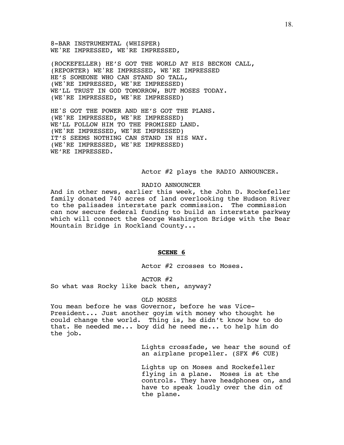8-BAR INSTRUMENTAL (WHISPER) WE'RE IMPRESSED, WE'RE IMPRESSED,

(ROCKEFELLER) HE'S GOT THE WORLD AT HIS BECKON CALL, (REPORTER) WE'RE IMPRESSED, WE'RE IMPRESSED HE'S SOMEONE WHO CAN STAND SO TALL, (WE'RE IMPRESSED, WE'RE IMPRESSED) WE'LL TRUST IN GOD TOMORROW, BUT MOSES TODAY. (WE'RE IMPRESSED, WE'RE IMPRESSED)

HE'S GOT THE POWER AND HE'S GOT THE PLANS. (WE'RE IMPRESSED, WE'RE IMPRESSED) WE'LL FOLLOW HIM TO THE PROMISED LAND. (WE'RE IMPRESSED, WE'RE IMPRESSED) IT'S SEEMS NOTHING CAN STAND IN HIS WAY. (WE'RE IMPRESSED, WE'RE IMPRESSED) WE'RE IMPRESSED.

Actor #2 plays the RADIO ANNOUNCER.

## RADIO ANNOUNCER

And in other news, earlier this week, the John D. Rockefeller family donated 740 acres of land overlooking the Hudson River to the palisades interstate park commission. The commission can now secure federal funding to build an interstate parkway which will connect the George Washington Bridge with the Bear Mountain Bridge in Rockland County...

## **SCENE 6**

Actor #2 crosses to Moses.

ACTOR #2 So what was Rocky like back then, anyway?

## OLD MOSES

You mean before he was Governor, before he was Vice-President... Just another goyim with money who thought he could change the world. Thing is, he didn't know how to do that. He needed me... boy did he need me... to help him do the job.

> Lights crossfade, we hear the sound of an airplane propeller. (SFX #6 CUE)

> Lights up on Moses and Rockefeller flying in a plane. Moses is at the controls. They have headphones on, and have to speak loudly over the din of the plane.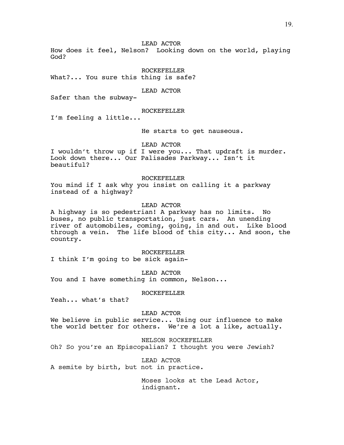LEAD ACTOR

How does it feel, Nelson? Looking down on the world, playing God?

ROCKEFELLER What?... You sure this thing is safe?

LEAD ACTOR

Safer than the subway-

# ROCKEFELLER

I'm feeling a little...

He starts to get nauseous.

LEAD ACTOR

I wouldn't throw up if I were you... That updraft is murder. Look down there... Our Palisades Parkway... Isn't it beautiful?

#### ROCKEFELLER

You mind if I ask why you insist on calling it a parkway instead of a highway?

# LEAD ACTOR

A highway is so pedestrian! A parkway has no limits. No buses, no public transportation, just cars. An unending river of automobiles, coming, going, in and out. Like blood through a vein. The life blood of this city... And soon, the country.

#### ROCKEFELLER

I think I'm going to be sick again-

LEAD ACTOR

You and I have something in common, Nelson...

ROCKEFELLER

Yeah... what's that?

## LEAD ACTOR

We believe in public service... Using our influence to make the world better for others. We're a lot a like, actually.

NELSON ROCKEFELLER

Oh? So you're an Episcopalian? I thought you were Jewish?

LEAD ACTOR A semite by birth, but not in practice.

> Moses looks at the Lead Actor, indignant.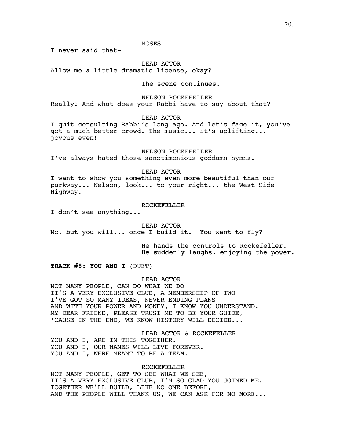# MOSES

I never said that-

LEAD ACTOR Allow me a little dramatic license, okay?

The scene continues.

NELSON ROCKEFELLER

Really? And what does your Rabbi have to say about that?

LEAD ACTOR

I quit consulting Rabbi's long ago. And let's face it, you've got a much better crowd. The music... it's uplifting... joyous even!

NELSON ROCKEFELLER

I've always hated those sanctimonious goddamn hymns.

# LEAD ACTOR

I want to show you something even more beautiful than our parkway... Nelson, look... to your right... the West Side Highway.

# ROCKEFELLER

I don't see anything...

LEAD ACTOR

No, but you will... once I build it. You want to fly?

He hands the controls to Rockefeller. He suddenly laughs, enjoying the power.

**TRACK #8: YOU AND I** (DUET)

# LEAD ACTOR

NOT MANY PEOPLE, CAN DO WHAT WE DO IT'S A VERY EXCLUSIVE CLUB, A MEMBERSHIP OF TWO I'VE GOT SO MANY IDEAS, NEVER ENDING PLANS AND WITH YOUR POWER AND MONEY, I KNOW YOU UNDERSTAND. MY DEAR FRIEND, PLEASE TRUST ME TO BE YOUR GUIDE, 'CAUSE IN THE END, WE KNOW HISTORY WILL DECIDE...

LEAD ACTOR & ROCKEFELLER YOU AND I, ARE IN THIS TOGETHER. YOU AND I, OUR NAMES WILL LIVE FOREVER. YOU AND I, WERE MEANT TO BE A TEAM.

ROCKEFELLER NOT MANY PEOPLE, GET TO SEE WHAT WE SEE, IT'S A VERY EXCLUSIVE CLUB, I'M SO GLAD YOU JOINED ME. TOGETHER WE'LL BUILD, LIKE NO ONE BEFORE, AND THE PEOPLE WILL THANK US, WE CAN ASK FOR NO MORE...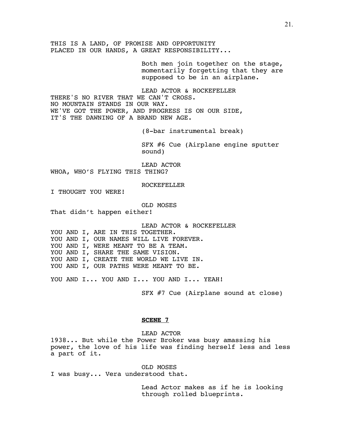THIS IS A LAND, OF PROMISE AND OPPORTUNITY PLACED IN OUR HANDS, A GREAT RESPONSIBILITY...

> Both men join together on the stage, momentarily forgetting that they are supposed to be in an airplane.

LEAD ACTOR & ROCKEFELLER THERE'S NO RIVER THAT WE CAN'T CROSS. NO MOUNTAIN STANDS IN OUR WAY. WE'VE GOT THE POWER, AND PROGRESS IS ON OUR SIDE, IT'S THE DAWNING OF A BRAND NEW AGE.

(8-bar instrumental break)

SFX #6 Cue (Airplane engine sputter sound)

LEAD ACTOR

WHOA, WHO'S FLYING THIS THING?

ROCKEFELLER

I THOUGHT YOU WERE!

OLD MOSES

That didn't happen either!

LEAD ACTOR & ROCKEFELLER

YOU AND I, ARE IN THIS TOGETHER. YOU AND I, OUR NAMES WILL LIVE FOREVER. YOU AND I, WERE MEANT TO BE A TEAM. YOU AND I, SHARE THE SAME VISION. YOU AND I, CREATE THE WORLD WE LIVE IN. YOU AND I, OUR PATHS WERE MEANT TO BE.

YOU AND I... YOU AND I... YOU AND I... YEAH!

SFX #7 Cue (Airplane sound at close)

# **SCENE 7**

LEAD ACTOR

1938... But while the Power Broker was busy amassing his power, the love of his life was finding herself less and less a part of it.

OLD MOSES I was busy... Vera understood that.

> Lead Actor makes as if he is looking through rolled blueprints.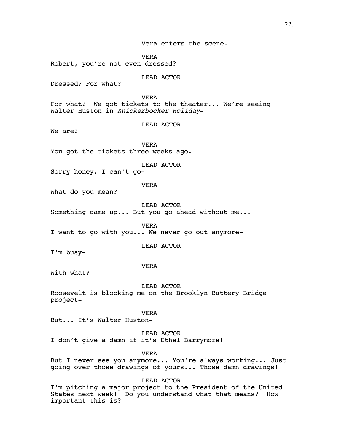Vera enters the scene.

VERA Robert, you're not even dressed?

LEAD ACTOR

Dressed? For what?

VERA For what? We got tickets to the theater... We're seeing Walter Huston in *Knickerbocker Holiday*-

LEAD ACTOR

We are?

VERA You got the tickets three weeks ago.

LEAD ACTOR

Sorry honey, I can't go-

VERA

What do you mean?

LEAD ACTOR

Something came up... But you go ahead without me...

VERA I want to go with you... We never go out anymore-

LEAD ACTOR

I'm busy-

VERA

With what?

LEAD ACTOR

Roosevelt is blocking me on the Brooklyn Battery Bridge project-

VERA

But... It's Walter Huston-

LEAD ACTOR I don't give a damn if it's Ethel Barrymore!

VERA

But I never see you anymore... You're always working... Just going over those drawings of yours... Those damn drawings!

LEAD ACTOR

I'm pitching a major project to the President of the United States next week! Do you understand what that means? How important this is?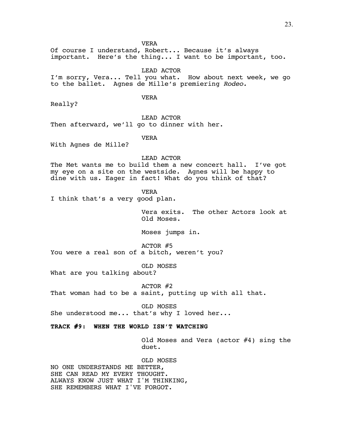VERA

Of course I understand, Robert... Because it's always important. Here's the thing... I want to be important, too.

LEAD ACTOR I'm sorry, Vera... Tell you what. How about next week, we go to the ballet. Agnes de Mille's premiering *Rodeo.*

VERA

Really?

LEAD ACTOR Then afterward, we'll go to dinner with her.

VERA

With Agnes de Mille?

LEAD ACTOR

The Met wants me to build them a new concert hall. I've got my eye on a site on the westside. Agnes will be happy to dine with us. Eager in fact! What do you think of that?

VERA

I think that's a very good plan.

Vera exits. The other Actors look at Old Moses.

Moses jumps in.

ACTOR #5 You were a real son of a bitch, weren't you?

OLD MOSES

What are you talking about?

ACTOR #2 That woman had to be a saint, putting up with all that.

OLD MOSES She understood me... that's why I loved her...

# **TRACK #9: WHEN THE WORLD ISN'T WATCHING**

Old Moses and Vera (actor #4) sing the duet.

OLD MOSES NO ONE UNDERSTANDS ME BETTER, SHE CAN READ MY EVERY THOUGHT. ALWAYS KNOW JUST WHAT I'M THINKING, SHE REMEMBERS WHAT I'VE FORGOT.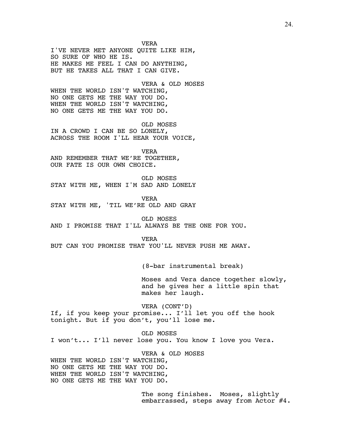VERA I'VE NEVER MET ANYONE QUITE LIKE HIM, SO SURE OF WHO HE IS. HE MAKES ME FEEL I CAN DO ANYTHING, BUT HE TAKES ALL THAT I CAN GIVE. VERA & OLD MOSES WHEN THE WORLD ISN'T WATCHING, NO ONE GETS ME THE WAY YOU DO. WHEN THE WORLD ISN'T WATCHING,

OLD MOSES IN A CROWD I CAN BE SO LONELY, ACROSS THE ROOM I'LL HEAR YOUR VOICE,

VERA AND REMEMBER THAT WE'RE TOGETHER, OUR FATE IS OUR OWN CHOICE.

NO ONE GETS ME THE WAY YOU DO.

OLD MOSES STAY WITH ME, WHEN I'M SAD AND LONELY

VERA STAY WITH ME, 'TIL WE'RE OLD AND GRAY

OLD MOSES AND I PROMISE THAT I'LL ALWAYS BE THE ONE FOR YOU.

VERA

BUT CAN YOU PROMISE THAT YOU'LL NEVER PUSH ME AWAY.

(8-bar instrumental break)

Moses and Vera dance together slowly, and he gives her a little spin that makes her laugh.

VERA (CONT'D) If, if you keep your promise... I'll let you off the hook tonight. But if you don't, you'll lose me.

OLD MOSES I won't... I'll never lose you. You know I love you Vera.

VERA & OLD MOSES WHEN THE WORLD ISN'T WATCHING, NO ONE GETS ME THE WAY YOU DO. WHEN THE WORLD ISN'T WATCHING, NO ONE GETS ME THE WAY YOU DO.

> The song finishes. Moses, slightly embarrassed, steps away from Actor #4.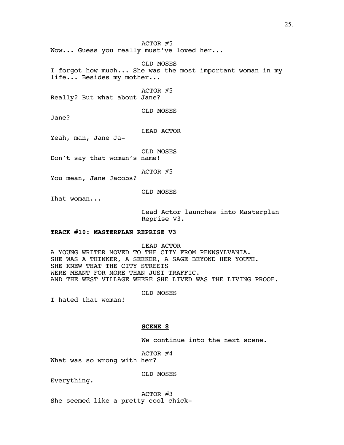ACTOR #5 Wow... Guess you really must've loved her...

OLD MOSES I forgot how much... She was the most important woman in my life... Besides my mother...

ACTOR #5

Really? But what about Jane?

OLD MOSES

Jane?

LEAD ACTOR

Yeah, man, Jane Ja-

OLD MOSES

Don't say that woman's name!

ACTOR #5

You mean, Jane Jacobs?

OLD MOSES

That woman...

Lead Actor launches into Masterplan Reprise V3.

# **TRACK #10: MASTERPLAN REPRISE V3**

LEAD ACTOR A YOUNG WRITER MOVED TO THE CITY FROM PENNSYLVANIA. SHE WAS A THINKER, A SEEKER, A SAGE BEYOND HER YOUTH. SHE KNEW THAT THE CITY STREETS WERE MEANT FOR MORE THAN JUST TRAFFIC. AND THE WEST VILLAGE WHERE SHE LIVED WAS THE LIVING PROOF.

OLD MOSES

I hated that woman!

# **SCENE 8**

We continue into the next scene.

ACTOR #4

What was so wrong with her?

OLD MOSES

Everything.

ACTOR #3 She seemed like a pretty cool chick-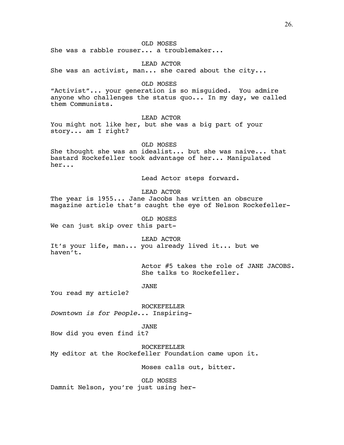# OLD MOSES

She was a rabble rouser... a troublemaker...

LEAD ACTOR She was an activist, man... she cared about the city...

# OLD MOSES

"Activist"... your generation is so misguided. You admire anyone who challenges the status quo... In my day, we called them Communists.

# LEAD ACTOR

You might not like her, but she was a big part of your story... am I right?

OLD MOSES

She thought she was an idealist... but she was naive... that bastard Rockefeller took advantage of her... Manipulated her...

Lead Actor steps forward.

LEAD ACTOR

The year is 1955... Jane Jacobs has written an obscure magazine article that's caught the eye of Nelson Rockefeller-

OLD MOSES We can just skip over this part-

LEAD ACTOR

It's your life, man... you already lived it... but we haven't.

> Actor #5 takes the role of JANE JACOBS. She talks to Rockefeller.

# JANE

You read my article?

ROCKEFELLER *Downtown is for People*... Inspiring-

JANE

How did you even find it?

ROCKEFELLER

My editor at the Rockefeller Foundation came upon it.

Moses calls out, bitter.

OLD MOSES Damnit Nelson, you're just using her-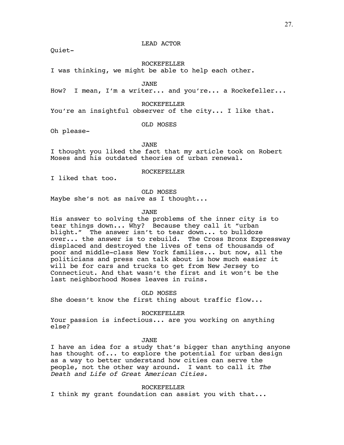# LEAD ACTOR

Quiet-

ROCKEFELLER

I was thinking, we might be able to help each other.

JANE

How? I mean, I'm a writer... and you're... a Rockefeller...

ROCKEFELLER

You're an insightful observer of the city... I like that.

OLD MOSES

Oh please-

JANE

I thought you liked the fact that my article took on Robert Moses and his outdated theories of urban renewal.

ROCKEFELLER

I liked that too.

OLD MOSES

Maybe she's not as naive as I thought...

JANE

His answer to solving the problems of the inner city is to tear things down... Why? Because they call it "urban blight." The answer isn't to tear down... to bulldoze over... the answer is to rebuild. The Cross Bronx Expressway displaced and destroyed the lives of tens of thousands of poor and middle-class New York families... but now, all the politicians and press can talk about is how much easier it will be for cars and trucks to get from New Jersey to Connecticut. And that wasn't the first and it won't be the last neighborhood Moses leaves in ruins.

OLD MOSES She doesn't know the first thing about traffic flow...

ROCKEFELLER

Your passion is infectious... are you working on anything else?

JANE

I have an idea for a study that's bigger than anything anyone has thought of... to explore the potential for urban design as a way to better understand how cities can serve the people, not the other way around. I want to call it *The Death and Life of Great American Cities.*

ROCKEFELLER

I think my grant foundation can assist you with that...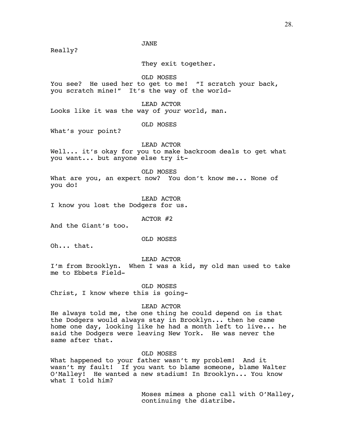JANE

Really?

They exit together.

OLD MOSES

You see? He used her to get to me! "I scratch your back, you scratch mine!" It's the way of the world-

LEAD ACTOR

Looks like it was the way of *your* world, man.

OLD MOSES

What's your point?

LEAD ACTOR

Well... it's okay for you to make backroom deals to get what you want... but anyone else try it-

OLD MOSES

What are you, an expert now? You don't know me... None of you do!

LEAD ACTOR

I know you lost the Dodgers for us.

ACTOR #2

And the Giant's too.

OLD MOSES

Oh... that.

LEAD ACTOR

I'm from Brooklyn. When I was a kid, my old man used to take me to Ebbets Field-

OLD MOSES Christ, I know where this is going-

#### LEAD ACTOR

He always told me, the one thing he could depend on is that the Dodgers would always stay in Brooklyn... then he came home one day, looking like he had a month left to live... he said the Dodgers were leaving New York. He was never the same after that.

OLD MOSES

What happened to your father wasn't my problem! And it wasn't my fault! If you want to blame someone, blame Walter O'Malley! He wanted a new stadium! In Brooklyn... You know what I told him?

> Moses mimes a phone call with O'Malley, continuing the diatribe.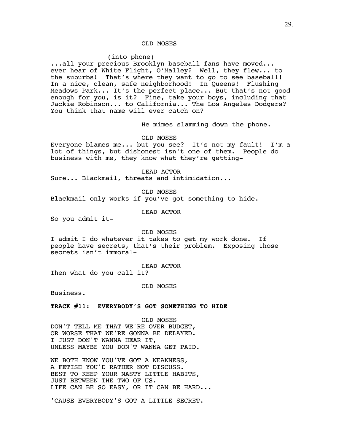# OLD MOSES

## (into phone)

...all your precious Brooklyn baseball fans have moved... ever hear of White Flight, O'Malley? Well, they flew... to the suburbs! That's where they want to go to see baseball! In a nice, clean, safe neighborhood! In Queens! Flushing Meadows Park... It's the perfect place... But that's not good enough for you, is it? Fine, take your boys, including that Jackie Robinson... to California... The Los Angeles Dodgers? You think that name will ever catch on?

He mimes slamming down the phone.

OLD MOSES

Everyone blames me... but you see? It's not my fault! I'm a lot of things, but dishonest isn't one of them. People do business with me, they know what they're getting-

LEAD ACTOR Sure... Blackmail, threats and intimidation...

OLD MOSES

Blackmail only works if you've got something to hide.

LEAD ACTOR

So you admit it-

## OLD MOSES

I admit I do whatever it takes to get my work done. If people have secrets, that's their problem. Exposing those secrets isn't immoral-

LEAD ACTOR

Then what do you call it?

OLD MOSES

Business.

**TRACK #11: EVERYBODY'S GOT SOMETHING TO HIDE**

OLD MOSES DON'T TELL ME THAT WE'RE OVER BUDGET, OR WORSE THAT WE'RE GONNA BE DELAYED. I JUST DON'T WANNA HEAR IT, UNLESS MAYBE YOU DON'T WANNA GET PAID.

WE BOTH KNOW YOU'VE GOT A WEAKNESS, A FETISH YOU'D RATHER NOT DISCUSS. BEST TO KEEP YOUR NASTY LITTLE HABITS, JUST BETWEEN THE TWO OF US. LIFE CAN BE SO EASY, OR IT CAN BE HARD...

'CAUSE EVERYBODY'S GOT A LITTLE SECRET.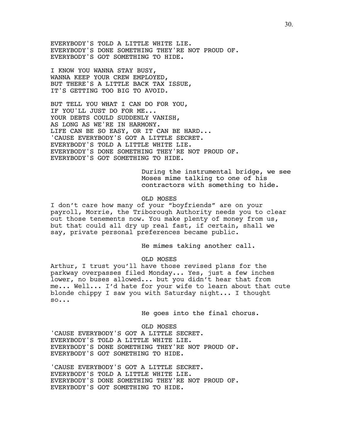EVERYBODY'S TOLD A LITTLE WHITE LIE. EVERYBODY'S DONE SOMETHING THEY'RE NOT PROUD OF. EVERYBODY'S GOT SOMETHING TO HIDE.

I KNOW YOU WANNA STAY BUSY, WANNA KEEP YOUR CREW EMPLOYED, BUT THERE'S A LITTLE BACK TAX ISSUE, IT'S GETTING TOO BIG TO AVOID.

BUT TELL YOU WHAT I CAN DO FOR YOU, IF YOU'LL JUST DO FOR ME... YOUR DEBTS COULD SUDDENLY VANISH, AS LONG AS WE'RE IN HARMONY. LIFE CAN BE SO EASY, OR IT CAN BE HARD... 'CAUSE EVERYBODY'S GOT A LITTLE SECRET. EVERYBODY'S TOLD A LITTLE WHITE LIE. EVERYBODY'S DONE SOMETHING THEY'RE NOT PROUD OF. EVERYBODY'S GOT SOMETHING TO HIDE.

> During the instrumental bridge, we see Moses mime talking to one of his contractors with something to hide.

## OLD MOSES

I don't care how many of your "boyfriends" are on your payroll, Morrie, the Triborough Authority needs you to clear out those tenements now. You make plenty of money from us, but that could all dry up real fast, if certain, shall we say, private personal preferences became public.

He mimes taking another call.

#### OLD MOSES

Arthur, I trust you'll have those revised plans for the parkway overpasses filed Monday... Yes, just a few inches lower, no buses allowed... but you didn't hear that from me... Well... I'd hate for your wife to learn about that cute blonde chippy I saw you with Saturday night... I thought so...

He goes into the final chorus.

OLD MOSES 'CAUSE EVERYBODY'S GOT A LITTLE SECRET. EVERYBODY'S TOLD A LITTLE WHITE LIE. EVERYBODY'S DONE SOMETHING THEY'RE NOT PROUD OF. EVERYBODY'S GOT SOMETHING TO HIDE.

'CAUSE EVERYBODY'S GOT A LITTLE SECRET. EVERYBODY'S TOLD A LITTLE WHITE LIE. EVERYBODY'S DONE SOMETHING THEY'RE NOT PROUD OF. EVERYBODY'S GOT SOMETHING TO HIDE.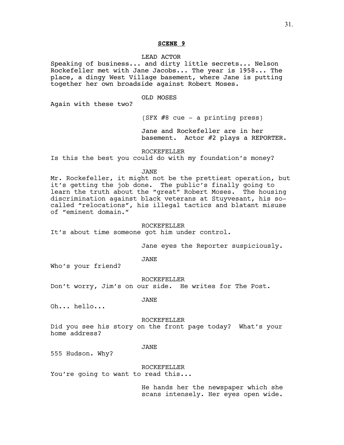# LEAD ACTOR

Speaking of business... and dirty little secrets... Nelson Rockefeller met with Jane Jacobs... The year is 1958... The place, a dingy West Village basement, where Jane is putting together her own broadside against Robert Moses.

#### OLD MOSES

Again with these two?

(SFX #8 cue - a printing press)

Jane and Rockefeller are in her basement. Actor #2 plays a REPORTER.

ROCKEFELLER

Is this the best you could do with my foundation's money?

## JANE

Mr. Rockefeller, it might not be the prettiest operation, but it's getting the job done. The public's finally going to learn the truth about the "great" Robert Moses. The housing discrimination against black veterans at Stuyvesant, his socalled "relocations", his illegal tactics and blatant misuse of "eminent domain."

## ROCKEFELLER

It's about time someone got him under control.

Jane eyes the Reporter suspiciously.

JANE

Who's your friend?

ROCKEFELLER

Don't worry, Jim's on our side. He writes for The Post.

JANE

Oh... hello...

#### ROCKEFELLER

Did you see his story on the front page today? What's your home address?

# JANE

555 Hudson. Why?

ROCKEFELLER

You're going to want to read this...

He hands her the newspaper which she scans intensely. Her eyes open wide.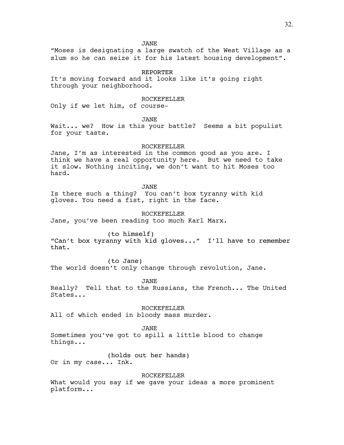JANE

"Moses is designating a large swatch of the West Village as a slum so he can seize it for his latest housing development".

REPORTER

It's moving forward and it looks like it's going right through your neighborhood.

ROCKEFELLER

Only if we let him, of course-

JANE

Wait... we? How is this your battle? Seems a bit populist for your taste.

ROCKEFELLER

Jane, I'm as interested in the common good as you are. I think we have a real opportunity here. But we need to take it slow. Nothing inciting, we don't want to hit Moses too hard.

JANE

Is there such a thing? You can't box tyranny with kid gloves. You need a fist, right in the face.

ROCKEFELLER

Jane, you've been reading too much Karl Marx.

(to himself)

"Can't box tyranny with kid gloves..." I'll have to remember that.

(to Jane)

The world doesn't only change through revolution, Jane.

JANE

Really? Tell that to the Russians, the French... The United States...

ROCKEFELLER

All of which ended in bloody mass murder.

JANE

Sometimes you've got to spill a little blood to change things...

(holds out her hands) Or in my case... Ink.

ROCKEFELLER

What would you say if we gave your ideas a more prominent platform...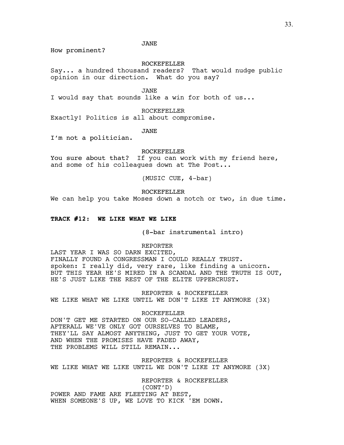JANE

How prominent?

ROCKEFELLER

Say... a hundred thousand readers? That would nudge public opinion in our direction. What do you say?

JANE

I would say that sounds like a win for both of us...

ROCKEFELLER

Exactly! Politics is all about compromise.

JANE

I'm not a politician.

ROCKEFELLER

You sure about that? If you can work with my friend here, and some of his colleagues down at The Post...

(MUSIC CUE, 4-bar)

ROCKEFELLER

We can help you take Moses down a notch or two, in due time.

## **TRACK #12: WE LIKE WHAT WE LIKE**

(8-bar instrumental intro)

REPORTER

LAST YEAR I WAS SO DARN EXCITED, FINALLY FOUND A CONGRESSMAN I COULD REALLY TRUST. spoken: I really did, very rare, like finding a unicorn. BUT THIS YEAR HE'S MIRED IN A SCANDAL AND THE TRUTH IS OUT, HE'S JUST LIKE THE REST OF THE ELITE UPPERCRUST.

REPORTER & ROCKEFELLER WE LIKE WHAT WE LIKE UNTIL WE DON'T LIKE IT ANYMORE (3X)

ROCKEFELLER DON'T GET ME STARTED ON OUR SO-CALLED LEADERS, AFTERALL WE'VE ONLY GOT OURSELVES TO BLAME, THEY'LL SAY ALMOST ANYTHING, JUST TO GET YOUR VOTE, AND WHEN THE PROMISES HAVE FADED AWAY, THE PROBLEMS WILL STILL REMAIN...

REPORTER & ROCKEFELLER WE LIKE WHAT WE LIKE UNTIL WE DON'T LIKE IT ANYMORE (3X)

REPORTER & ROCKEFELLER (CONT'D) POWER AND FAME ARE FLEETING AT BEST, WHEN SOMEONE'S UP, WE LOVE TO KICK 'EM DOWN.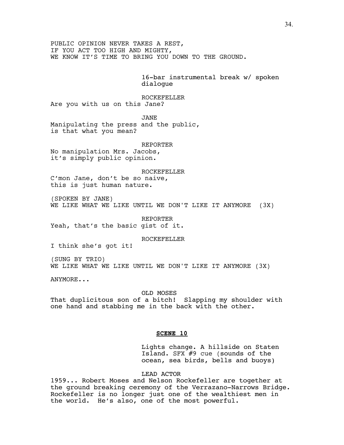PUBLIC OPINION NEVER TAKES A REST, IF YOU ACT TOO HIGH AND MIGHTY, WE KNOW IT'S TIME TO BRING YOU DOWN TO THE GROUND.

> 16-bar instrumental break w/ spoken dialogue

ROCKEFELLER Are you with us on this Jane?

JANE

Manipulating the press and the public, is that what you mean?

REPORTER

No manipulation Mrs. Jacobs, it's simply public opinion.

ROCKEFELLER C'mon Jane, don't be so naive, this is just human nature.

(SPOKEN BY JANE) WE LIKE WHAT WE LIKE UNTIL WE DON'T LIKE IT ANYMORE (3X)

REPORTER Yeah, that's the basic gist of it.

ROCKEFELLER

I think she's got it!

(SUNG BY TRIO) WE LIKE WHAT WE LIKE UNTIL WE DON'T LIKE IT ANYMORE (3X)

ANYMORE...

OLD MOSES That duplicitous son of a bitch! Slapping my shoulder with one hand and stabbing me in the back with the other.

# **SCENE 10**

Lights change. A hillside on Staten Island. SFX #9 cue (sounds of the ocean, sea birds, bells and buoys)

LEAD ACTOR

1959... Robert Moses and Nelson Rockefeller are together at the ground breaking ceremony of the Verrazano-Narrows Bridge. Rockefeller is no longer just one of the wealthiest men in the world. He's also, one of the most powerful.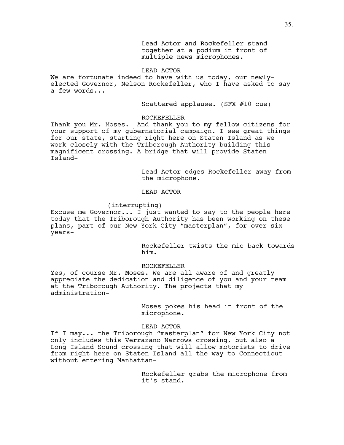Lead Actor and Rockefeller stand together at a podium in front of multiple news microphones.

# LEAD ACTOR

We are fortunate indeed to have with us today, our newlyelected Governor, Nelson Rockefeller, who I have asked to say a few words...

Scattered applause. (SFX #10 cue)

# ROCKEFELLER

Thank you Mr. Moses. And thank you to my fellow citizens for your support of my gubernatorial campaign. I see great things for our state, starting right here on Staten Island as we work closely with the Triborough Authority building this magnificent crossing. A bridge that will provide Staten Island-

> Lead Actor edges Rockefeller away from the microphone.

# LEAD ACTOR

# (interrupting)

Excuse me Governor... I just wanted to say to the people here today that the Triborough Authority has been working on these plans, part of our New York City "masterplan", for over six years-

> Rockefeller twists the mic back towards him.

# ROCKEFELLER

Yes, of course Mr. Moses. We are all aware of and greatly appreciate the dedication and diligence of you and your team at the Triborough Authority. The projects that my administration-

> Moses pokes his head in front of the microphone.

# LEAD ACTOR

If I may... the Triborough "masterplan" for New York City not only includes this Verrazano Narrows crossing, but also a Long Island Sound crossing that will allow motorists to drive from right here on Staten Island all the way to Connecticut without entering Manhattan-

> Rockefeller grabs the microphone from it's stand.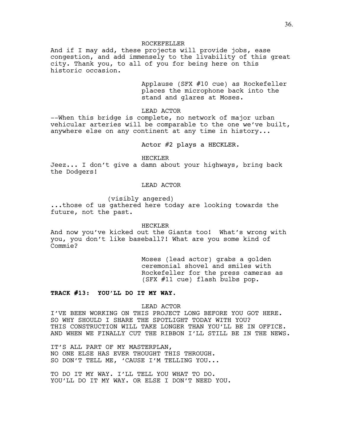## ROCKEFELLER

And if I may add, these projects will provide jobs, ease congestion, and add immensely to the livability of this great city. Thank you, to all of you for being here on this historic occasion.

> Applause (SFX #10 cue) as Rockefeller places the microphone back into the stand and glares at Moses.

LEAD ACTOR

--When this bridge is complete, no network of major urban vehicular arteries will be comparable to the one we've built, anywhere else on any continent at any time in history...

Actor #2 plays a HECKLER.

HECKLER

Jeez... I don't give a damn about your highways, bring back the Dodgers!

# LEAD ACTOR

(visibly angered)

...those of us gathered here today are looking towards the future, not the past.

HECKLER

And now you've kicked out the Giants too! What's wrong with you, you don't like baseball?! What are you some kind of Commie?

> Moses (lead actor) grabs a golden ceremonial shovel and smiles with Rockefeller for the press cameras as (SFX #11 cue) flash bulbs pop.

# **TRACK #13: YOU'LL DO IT MY WAY.**

LEAD ACTOR

I'VE BEEN WORKING ON THIS PROJECT LONG BEFORE YOU GOT HERE. SO WHY SHOULD I SHARE THE SPOTLIGHT TODAY WITH YOU? THIS CONSTRUCTION WILL TAKE LONGER THAN YOU'LL BE IN OFFICE. AND WHEN WE FINALLY CUT THE RIBBON I'LL STILL BE IN THE NEWS.

IT'S ALL PART OF MY MASTERPLAN, NO ONE ELSE HAS EVER THOUGHT THIS THROUGH. SO DON'T TELL ME, 'CAUSE I'M TELLING YOU...

TO DO IT MY WAY. I'LL TELL YOU WHAT TO DO. YOU'LL DO IT MY WAY. OR ELSE I DON'T NEED YOU.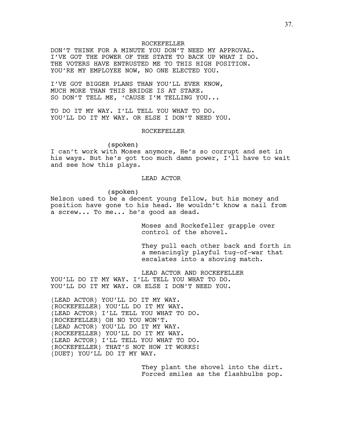## ROCKEFELLER

DON'T THINK FOR A MINUTE YOU DON'T NEED MY APPROVAL. I'VE GOT THE POWER OF THE STATE TO BACK UP WHAT I DO. THE VOTERS HAVE ENTRUSTED ME TO THIS HIGH POSITION. YOU'RE MY EMPLOYEE NOW, NO ONE ELECTED YOU.

I'VE GOT BIGGER PLANS THAN YOU'LL EVER KNOW, MUCH MORE THAN THIS BRIDGE IS AT STAKE. SO DON'T TELL ME, 'CAUSE I'M TELLING YOU...

TO DO IT MY WAY. I'LL TELL YOU WHAT TO DO. YOU'LL DO IT MY WAY. OR ELSE I DON'T NEED YOU.

## ROCKEFELLER

(spoken)

I can't work with Moses anymore, He's so corrupt and set in his ways. But he's got too much damn power, I'll have to wait and see how this plays.

## LEAD ACTOR

(spoken)

Nelson used to be a decent young fellow, but his money and position have gone to his head. He wouldn't know a nail from a screw... To me... he's good as dead.

> Moses and Rockefeller grapple over control of the shovel.

They pull each other back and forth in a menacingly playful tug-of-war that escalates into a shoving match.

LEAD ACTOR AND ROCKEFELLER YOU'LL DO IT MY WAY. I'LL TELL YOU WHAT TO DO. YOU'LL DO IT MY WAY. OR ELSE I DON'T NEED YOU.

(LEAD ACTOR) YOU'LL DO IT MY WAY. (ROCKEFELLER) YOU'LL DO IT MY WAY. (LEAD ACTOR) I'LL TELL YOU WHAT TO DO. (ROCKEFELLER) OH NO YOU WON'T. (LEAD ACTOR) YOU'LL DO IT MY WAY. (ROCKEFELLER) YOU'LL DO IT MY WAY. (LEAD ACTOR) I'LL TELL YOU WHAT TO DO. (ROCKEFELLER) THAT'S NOT HOW IT WORKS! (DUET) YOU'LL DO IT MY WAY.

> They plant the shovel into the dirt. Forced smiles as the flashbulbs pop.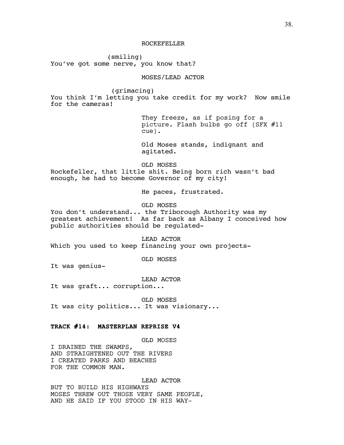(smiling) You've got some nerve, you know that?

# MOSES/LEAD ACTOR

(grimacing)

You think I'm letting you take credit for my work? Now smile for the cameras!

> They freeze, as if posing for a picture. Flash bulbs go off (SFX #11 cue).

Old Moses stands, indignant and agitated.

OLD MOSES Rockefeller, that little shit. Being born rich wasn't bad enough, he had to become Governor of my city!

He paces, frustrated.

OLD MOSES

You don't understand... the Triborough Authority was my greatest achievement! As far back as Albany I conceived how public authorities should be regulated-

LEAD ACTOR Which you used to keep financing your own projects-

OLD MOSES

It was genius-

LEAD ACTOR

It was graft... corruption...

OLD MOSES It was city politics... It was visionary...

# **TRACK #14: MASTERPLAN REPRISE V4**

OLD MOSES

I DRAINED THE SWAMPS, AND STRAIGHTENED OUT THE RIVERS I CREATED PARKS AND BEACHES FOR THE COMMON MAN.

LEAD ACTOR BUT TO BUILD HIS HIGHWAYS MOSES THREW OUT THOSE VERY SAME PEOPLE, AND HE SAID IF YOU STOOD IN HIS WAY-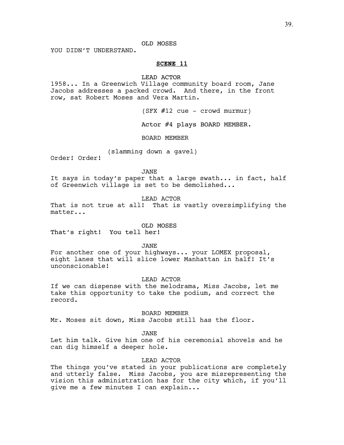# OLD MOSES

YOU DIDN'T UNDERSTAND.

## **SCENE 11**

#### LEAD ACTOR

1958... In a Greenwich Village community board room, Jane Jacobs addresses a packed crowd. And there, in the front row, sat Robert Moses and Vera Martin.

(SFX #12 cue - crowd murmur)

Actor #4 plays BOARD MEMBER.

BOARD MEMBER

(slamming down a gavel)

Order! Order!

JANE

It says in today's paper that a large swath... in fact, half of Greenwich village is set to be demolished...

LEAD ACTOR

That is not true at all! That is vastly oversimplifying the matter...

OLD MOSES

That's right! You tell her!

JANE

For another one of your highways... your LOMEX proposal, eight lanes that will slice lower Manhattan in half! It's unconscionable!

LEAD ACTOR

If we can dispense with the melodrama, Miss Jacobs, let me take this opportunity to take the podium, and correct the record.

BOARD MEMBER

Mr. Moses sit down, Miss Jacobs still has the floor.

JANE

Let him talk. Give him one of his ceremonial shovels and he can dig himself a deeper hole.

LEAD ACTOR

The things you've stated in your publications are completely and utterly false. Miss Jacobs, you are misrepresenting the vision this administration has for the city which, if you'll give me a few minutes I can explain...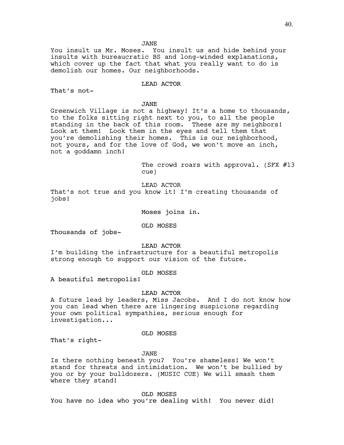JANE

You insult us Mr. Moses. You insult us and hide behind your insults with bureaucratic BS and long-winded explanations, which cover up the fact that what you really want to do is demolish our homes. Our neighborhoods.

LEAD ACTOR

That's not-

JANE

Greenwich Village is not a highway! It's a home to thousands, to the folks sitting right next to you, to all the people standing in the back of this room. These are my neighbors! Look at them! Look them in the eyes and tell them that you're demolishing their homes. This is our neighborhood, not yours, and for the love of God, we won't move an inch, not a goddamn inch!

> The crowd roars with approval. (SFX #13 cue)

LEAD ACTOR

That's not true and you know it! I'm creating thousands of jobs!

Moses joins in.

OLD MOSES

Thousands of jobs-

LEAD ACTOR

I'm building the infrastructure for a beautiful metropolis strong enough to support our vision of the future.

OLD MOSES

A beautiful metropolis!

LEAD ACTOR

A future lead by leaders, Miss Jacobs. And I do not know how you can lead when there are lingering suspicions regarding your own political sympathies, serious enough for investigation...

OLD MOSES

That's right-

JANE

Is there nothing beneath you? You're shameless! We won't stand for threats and intimidation. We won't be bullied by you or by your bulldozers. (MUSIC CUE) We will smash them where they stand!

OLD MOSES

You have no idea who you're dealing with! You never did!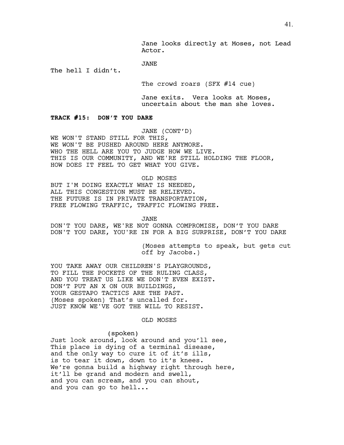## JANE

The hell I didn't.

The crowd roars (SFX #14 cue)

Jane exits. Vera looks at Moses, uncertain about the man she loves.

## **TRACK #15: DON'T YOU DARE**

JANE (CONT'D)

WE WON'T STAND STILL FOR THIS, WE WON'T BE PUSHED AROUND HERE ANYMORE. WHO THE HELL ARE YOU TO JUDGE HOW WE LIVE. THIS IS OUR COMMUNITY, AND WE'RE STILL HOLDING THE FLOOR, HOW DOES IT FEEL TO GET WHAT YOU GIVE.

OLD MOSES

BUT I'M DOING EXACTLY WHAT IS NEEDED, ALL THIS CONGESTION MUST BE RELIEVED. THE FUTURE IS IN PRIVATE TRANSPORTATION, FREE FLOWING TRAFFIC, TRAFFIC FLOWING FREE.

JANE

DON'T YOU DARE, WE'RE NOT GONNA COMPROMISE, DON'T YOU DARE DON'T YOU DARE, YOU'RE IN FOR A BIG SURPRISE, DON'T YOU DARE

> (Moses attempts to speak, but gets cut off by Jacobs.)

YOU TAKE AWAY OUR CHILDREN'S PLAYGROUNDS, TO FILL THE POCKETS OF THE RULING CLASS, AND YOU TREAT US LIKE WE DON'T EVEN EXIST. DON'T PUT AN X ON OUR BUILDINGS, YOUR GESTAPO TACTICS ARE THE PAST. (Moses spoken) That's uncalled for. JUST KNOW WE'VE GOT THE WILL TO RESIST.

# OLD MOSES

#### (spoken)

Just look around, look around and you'll see, This place is dying of a terminal disease, and the only way to cure it of it's ills, is to tear it down, down to it's knees. We're gonna build a highway right through here, it'll be grand and modern and swell, and you can scream, and you can shout, and you can go to hell...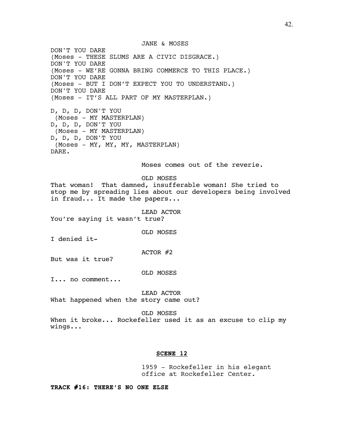JANE & MOSES

DON'T YOU DARE (Moses - THESE SLUMS ARE A CIVIC DISGRACE.) DON'T YOU DARE (Moses - WE'RE GONNA BRING COMMERCE TO THIS PLACE.) DON'T YOU DARE (Moses - BUT I DON'T EXPECT YOU TO UNDERSTAND.) DON'T YOU DARE (Moses - IT'S ALL PART OF MY MASTERPLAN.)

D, D, D, DON'T YOU (Moses - MY MASTERPLAN) D, D, D, DON'T YOU (Moses - MY MASTERPLAN) D, D, D, DON'T YOU (Moses - MY, MY, MY, MASTERPLAN) DARE.

Moses comes out of the reverie.

OLD MOSES

That woman! That damned, insufferable woman! She tried to stop me by spreading lies about our developers being involved in fraud... It made the papers...

LEAD ACTOR You're saying it wasn't true?

OLD MOSES

I denied it-

ACTOR #2

But was it true?

OLD MOSES

I... no comment...

LEAD ACTOR What happened when the story came out?

OLD MOSES

When it broke... Rockefeller used it as an excuse to clip my wings...

# **SCENE 12**

1959 - Rockefeller in his elegant office at Rockefeller Center.

**TRACK #16: THERE'S NO ONE ELSE**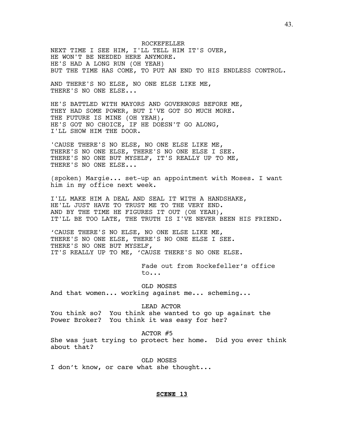ROCKEFELLER NEXT TIME I SEE HIM, I'LL TELL HIM IT'S OVER, HE WON'T BE NEEDED HERE ANYMORE. HE'S HAD A LONG RUN (OH YEAH) BUT THE TIME HAS COME, TO PUT AN END TO HIS ENDLESS CONTROL.

AND THERE'S NO ELSE, NO ONE ELSE LIKE ME, THERE'S NO ONE ELSE...

HE'S BATTLED WITH MAYORS AND GOVERNORS BEFORE ME, THEY HAD SOME POWER, BUT I'VE GOT SO MUCH MORE. THE FUTURE IS MINE (OH YEAH), HE'S GOT NO CHOICE, IF HE DOESN'T GO ALONG, I'LL SHOW HIM THE DOOR.

'CAUSE THERE'S NO ELSE, NO ONE ELSE LIKE ME, THERE'S NO ONE ELSE, THERE'S NO ONE ELSE I SEE. THERE'S NO ONE BUT MYSELF, IT'S REALLY UP TO ME, THERE'S NO ONE ELSE...

(spoken) Margie... set-up an appointment with Moses. I want him in my office next week.

I'LL MAKE HIM A DEAL AND SEAL IT WITH A HANDSHAKE, HE'LL JUST HAVE TO TRUST ME TO THE VERY END. AND BY THE TIME HE FIGURES IT OUT (OH YEAH), IT'LL BE TOO LATE, THE TRUTH IS I'VE NEVER BEEN HIS FRIEND.

'CAUSE THERE'S NO ELSE, NO ONE ELSE LIKE ME, THERE'S NO ONE ELSE, THERE'S NO ONE ELSE I SEE. THERE'S NO ONE BUT MYSELF, IT'S REALLY UP TO ME, 'CAUSE THERE'S NO ONE ELSE.

> Fade out from Rockefeller's office to...

OLD MOSES And that women... working against me... scheming...

LEAD ACTOR

You think so? You think she wanted to go up against the Power Broker? You think it was easy for her?

ACTOR #5

She was just trying to protect her home. Did you ever think about that?

OLD MOSES I don't know, or care what she thought...

## **SCENE 13**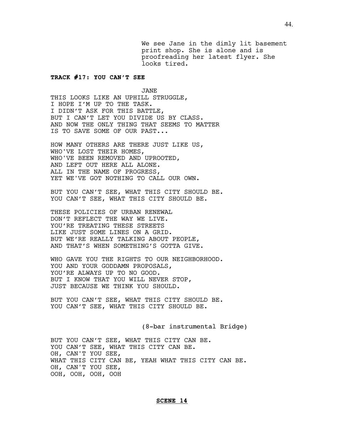We see Jane in the dimly lit basement print shop. She is alone and is proofreading her latest flyer. She looks tired.

# **TRACK #17: YOU CAN'T SEE**

JANE THIS LOOKS LIKE AN UPHILL STRUGGLE, I HOPE I'M UP TO THE TASK. I DIDN'T ASK FOR THIS BATTLE, BUT I CAN'T LET YOU DIVIDE US BY CLASS. AND NOW THE ONLY THING THAT SEEMS TO MATTER IS TO SAVE SOME OF OUR PAST...

HOW MANY OTHERS ARE THERE JUST LIKE US, WHO'VE LOST THEIR HOMES, WHO'VE BEEN REMOVED AND UPROOTED, AND LEFT OUT HERE ALL ALONE. ALL IN THE NAME OF PROGRESS, YET WE'VE GOT NOTHING TO CALL OUR OWN.

BUT YOU CAN'T SEE, WHAT THIS CITY SHOULD BE. YOU CAN'T SEE, WHAT THIS CITY SHOULD BE.

THESE POLICIES OF URBAN RENEWAL DON'T REFLECT THE WAY WE LIVE. YOU'RE TREATING THESE STREETS LIKE JUST SOME LINES ON A GRID. BUT WE'RE REALLY TALKING ABOUT PEOPLE, AND THAT'S WHEN SOMETHING'S GOTTA GIVE.

WHO GAVE YOU THE RIGHTS TO OUR NEIGHBORHOOD. YOU AND YOUR GODDAMN PROPOSALS, YOU'RE ALWAYS UP TO NO GOOD. BUT I KNOW THAT YOU WILL NEVER STOP, JUST BECAUSE WE THINK YOU SHOULD.

BUT YOU CAN'T SEE, WHAT THIS CITY SHOULD BE. YOU CAN'T SEE, WHAT THIS CITY SHOULD BE.

(8-bar instrumental Bridge)

BUT YOU CAN'T SEE, WHAT THIS CITY CAN BE. YOU CAN'T SEE, WHAT THIS CITY CAN BE. OH, CAN'T YOU SEE, WHAT THIS CITY CAN BE, YEAH WHAT THIS CITY CAN BE. OH, CAN'T YOU SEE, OOH, OOH, OOH, OOH

#### **SCENE 14**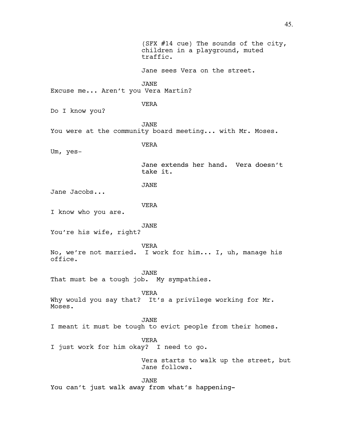(SFX #14 cue) The sounds of the city, children in a playground, muted traffic. Jane sees Vera on the street. JANE Excuse me... Aren't you Vera Martin? VERA Do I know you? JANE You were at the community board meeting... with Mr. Moses. VERA Um, yes-Jane extends her hand. Vera doesn't take it. JANE Jane Jacobs... VERA I know who you are. JANE You're his wife, right? VERA No, we're not married. I work for him... I, uh, manage his office. JANE That must be a tough job. My sympathies. VERA Why would you say that? It's a privilege working for Mr. Moses. JANE I meant it must be tough to evict people from their homes. VERA I just work for him okay? I need to go. Vera starts to walk up the street, but Jane follows. JANE You can't just walk away from what's happening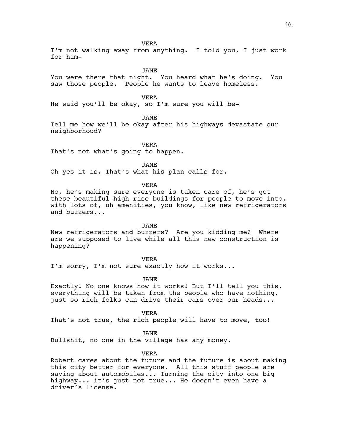I'm not walking away from anything. I told you, I just work for him-

JANE

You were there that night. You heard what he's doing. You saw those people. People he wants to leave homeless.

VERA

He said you'll be okay, so I'm sure you will be-

JANE

Tell me how we'll be okay after his highways devastate our neighborhood?

VERA That's not what's going to happen.

JANE

Oh yes it is. That's what his plan calls for.

VERA

No, he's making sure everyone is taken care of, he's got these beautiful high-rise buildings for people to move into, with lots of, uh amenities, you know, like new refrigerators and buzzers...

JANE

New refrigerators and buzzers? Are you kidding me? Where are we supposed to live while all this new construction is happening?

VERA

I'm sorry, I'm not sure exactly how it works...

JANE

Exactly! No one knows how it works! But I'll tell you this, everything will be taken from the people who have nothing, just so rich folks can drive their cars over our heads...

VERA

That's not true, the rich people will have to move, too!

JANE

Bullshit, no one in the village has any money.

VERA

Robert cares about the future and the future is about making this city better for everyone. All this stuff people are saying about automobiles... Turning the city into one big highway... it's just not true... He doesn't even have a driver's license.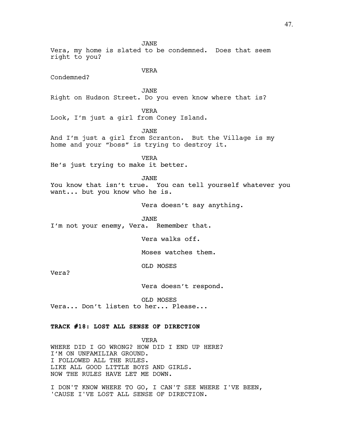Vera, my home is slated to be condemned. Does that seem right to you?

VERA

JANE

Condemned?

JANE

Right on Hudson Street. Do you even know where that is?

VERA

Look, I'm just a girl from Coney Island.

JANE

And I'm just a girl from Scranton. But the Village is my home and your "boss" is trying to destroy it.

VERA He's just trying to make it better.

JANE

You know that isn't true. You can tell yourself whatever you want... but you know who he is.

Vera doesn't say anything.

JANE

I'm not your enemy, Vera. Remember that.

Vera walks off.

Moses watches them.

OLD MOSES

Vera?

Vera doesn't respond.

OLD MOSES

Vera... Don't listen to her... Please...

# **TRACK #18: LOST ALL SENSE OF DIRECTION**

VERA WHERE DID I GO WRONG? HOW DID I END UP HERE? I'M ON UNFAMILIAR GROUND. I FOLLOWED ALL THE RULES. LIKE ALL GOOD LITTLE BOYS AND GIRLS. NOW THE RULES HAVE LET ME DOWN.

I DON'T KNOW WHERE TO GO, I CAN'T SEE WHERE I'VE BEEN, 'CAUSE I'VE LOST ALL SENSE OF DIRECTION.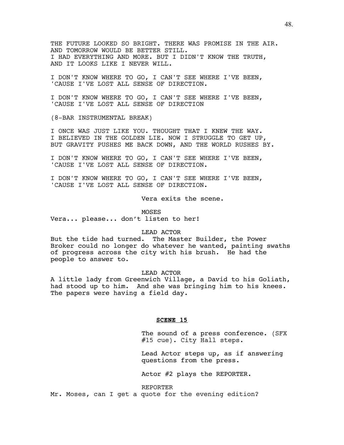THE FUTURE LOOKED SO BRIGHT. THERE WAS PROMISE IN THE AIR. AND TOMORROW WOULD BE BETTER STILL. I HAD EVERYTHING AND MORE. BUT I DIDN'T KNOW THE TRUTH, AND IT LOOKS LIKE I NEVER WILL.

I DON'T KNOW WHERE TO GO, I CAN'T SEE WHERE I'VE BEEN, 'CAUSE I'VE LOST ALL SENSE OF DIRECTION.

I DON'T KNOW WHERE TO GO, I CAN'T SEE WHERE I'VE BEEN, 'CAUSE I'VE LOST ALL SENSE OF DIRECTION

(8-BAR INSTRUMENTAL BREAK)

I ONCE WAS JUST LIKE YOU. THOUGHT THAT I KNEW THE WAY. I BELIEVED IN THE GOLDEN LIE. NOW I STRUGGLE TO GET UP, BUT GRAVITY PUSHES ME BACK DOWN, AND THE WORLD RUSHES BY.

I DON'T KNOW WHERE TO GO, I CAN'T SEE WHERE I'VE BEEN, 'CAUSE I'VE LOST ALL SENSE OF DIRECTION.

I DON'T KNOW WHERE TO GO, I CAN'T SEE WHERE I'VE BEEN, 'CAUSE I'VE LOST ALL SENSE OF DIRECTION.

Vera exits the scene.

MOSES Vera... please... don't listen to her!

## LEAD ACTOR

But the tide had turned. The Master Builder, the Power Broker could no longer do whatever he wanted, painting swaths of progress across the city with his brush. He had the people to answer to.

## LEAD ACTOR

A little lady from Greenwich Village, a David to his Goliath, had stood up to him. And she was bringing him to his knees. The papers were having a field day.

#### **SCENE 15**

The sound of a press conference. (SFX #15 cue). City Hall steps.

Lead Actor steps up, as if answering questions from the press.

Actor #2 plays the REPORTER.

REPORTER Mr. Moses, can I get a quote for the evening edition?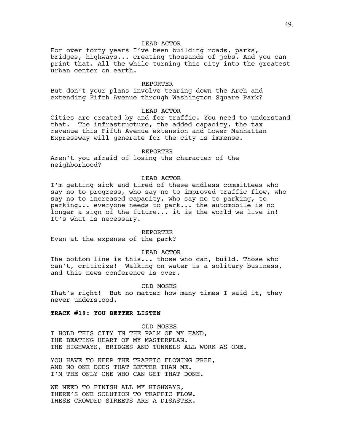## LEAD ACTOR

For over forty years I've been building roads, parks, bridges, highways... creating thousands of jobs. And you can print that. All the while turning this city into the greatest urban center on earth.

#### REPORTER

But don't your plans involve tearing down the Arch and extending Fifth Avenue through Washington Square Park?

## LEAD ACTOR

Cities are created by and for traffic. You need to understand that. The infrastructure, the added capacity, the tax revenue this Fifth Avenue extension and Lower Manhattan Expressway will generate for the city is immense.

REPORTER

Aren't you afraid of losing the character of the neighborhood?

## LEAD ACTOR

I'm getting sick and tired of these endless committees who say no to progress, who say no to improved traffic flow, who say no to increased capacity, who say no to parking, to parking... everyone needs to park... the automobile is no longer a sign of the future... it is the world we live in! It's what is necessary.

#### REPORTER

Even at the expense of the park?

## LEAD ACTOR

The bottom line is this... those who can, build. Those who can't, criticize! Walking on water is a solitary business, and this news conference is over.

## OLD MOSES

That's right! But no matter how many times I said it, they never understood.

## **TRACK #19: YOU BETTER LISTEN**

OLD MOSES I HOLD THIS CITY IN THE PALM OF MY HAND, THE BEATING HEART OF MY MASTERPLAN. THE HIGHWAYS, BRIDGES AND TUNNELS ALL WORK AS ONE.

YOU HAVE TO KEEP THE TRAFFIC FLOWING FREE, AND NO ONE DOES THAT BETTER THAN ME. I'M THE ONLY ONE WHO CAN GET THAT DONE.

WE NEED TO FINISH ALL MY HIGHWAYS, THERE'S ONE SOLUTION TO TRAFFIC FLOW. THESE CROWDED STREETS ARE A DISASTER.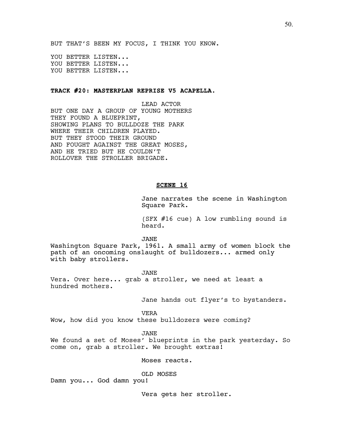BUT THAT'S BEEN MY FOCUS, I THINK YOU KNOW.

YOU BETTER LISTEN... YOU BETTER LISTEN... YOU BETTER LISTEN...

# **TRACK #20: MASTERPLAN REPRISE V5 ACAPELLA.**

LEAD ACTOR BUT ONE DAY A GROUP OF YOUNG MOTHERS THEY FOUND A BLUEPRINT, SHOWING PLANS TO BULLDOZE THE PARK WHERE THEIR CHILDREN PLAYED. BUT THEY STOOD THEIR GROUND AND FOUGHT AGAINST THE GREAT MOSES, AND HE TRIED BUT HE COULDN'T ROLLOVER THE STROLLER BRIGADE.

# **SCENE 16**

Jane narrates the scene in Washington Square Park.

(SFX #16 cue) A low rumbling sound is heard.

JANE

Washington Square Park, 1961. A small army of women block the path of an oncoming onslaught of bulldozers... armed only with baby strollers.

JANE Vera. Over here... grab a stroller, we need at least a hundred mothers.

Jane hands out flyer's to bystanders.

VERA

Wow, how did you know these bulldozers were coming?

## JANE

We found a set of Moses' blueprints in the park yesterday. So come on, grab a stroller. We brought extras!

Moses reacts.

OLD MOSES

Damn you... God damn you!

Vera gets her stroller.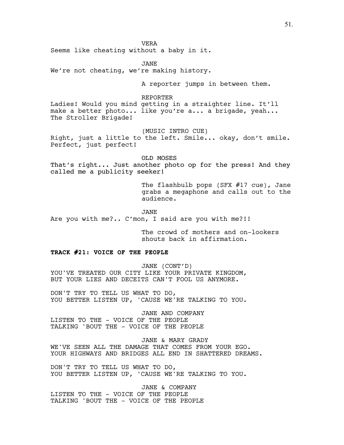VERA

Seems like cheating without a baby in it.

JANE We're not cheating, we're making history.

A reporter jumps in between them.

# REPORTER

Ladies! Would you mind getting in a straighter line. It'll make a better photo... like you're a... a brigade, yeah... The Stroller Brigade!

(MUSIC INTRO CUE)

Right, just a little to the left. Smile... okay, don't smile. Perfect, just perfect!

OLD MOSES

That's right... Just another photo op for the press! And they called me a publicity seeker!

> The flashbulb pops (SFX #17 cue), Jane grabs a megaphone and calls out to the audience.

JANE Are you with me?.. C'mon, I said are you with me?!!

> The crowd of mothers and on-lookers shouts back in affirmation.

## **TRACK #21: VOICE OF THE PEOPLE**

JANE (CONT'D) YOU'VE TREATED OUR CITY LIKE YOUR PRIVATE KINGDOM, BUT YOUR LIES AND DECEITS CAN'T FOOL US ANYMORE.

DON'T TRY TO TELL US WHAT TO DO, YOU BETTER LISTEN UP, 'CAUSE WE'RE TALKING TO YOU.

JANE AND COMPANY LISTEN TO THE - VOICE OF THE PEOPLE TALKING 'BOUT THE - VOICE OF THE PEOPLE

JANE & MARY GRADY WE'VE SEEN ALL THE DAMAGE THAT COMES FROM YOUR EGO. YOUR HIGHWAYS AND BRIDGES ALL END IN SHATTERED DREAMS.

DON'T TRY TO TELL US WHAT TO DO, YOU BETTER LISTEN UP, 'CAUSE WE'RE TALKING TO YOU.

JANE & COMPANY LISTEN TO THE - VOICE OF THE PEOPLE TALKING 'BOUT THE - VOICE OF THE PEOPLE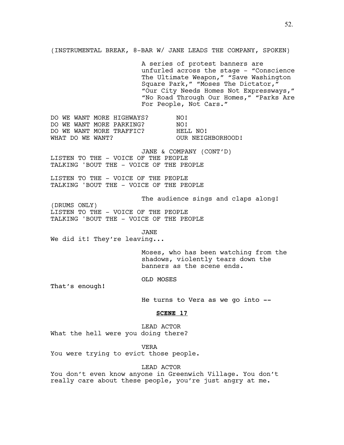(INSTRUMENTAL BREAK, 8-BAR W/ JANE LEADS THE COMPANY, SPOKEN)

A series of protest banners are unfurled across the stage - "Conscience The Ultimate Weapon," "Save Washington Square Park," "Moses The Dictator," "Our City Needs Homes Not Expressways," "No Road Through Our Homes," "Parks Are For People, Not Cars."

DO WE WANT MORE HIGHWAYS? NO! DO WE WANT MORE PARKING? NO! DO WE WANT MORE TRAFFIC? HELL NO! WHAT DO WE WANT? OUR NEIGHBORHOOD!

JANE & COMPANY (CONT'D) LISTEN TO THE - VOICE OF THE PEOPLE TALKING 'BOUT THE - VOICE OF THE PEOPLE

LISTEN TO THE - VOICE OF THE PEOPLE TALKING 'BOUT THE - VOICE OF THE PEOPLE

The audience sings and claps along!

(DRUMS ONLY) LISTEN TO THE - VOICE OF THE PEOPLE TALKING 'BOUT THE - VOICE OF THE PEOPLE

JANE

We did it! They're leaving...

Moses, who has been watching from the shadows, violently tears down the banners as the scene ends.

OLD MOSES

That's enough!

He turns to Vera as we go into --

## **SCENE 17**

LEAD ACTOR What the hell were you doing there?

VERA

You were trying to evict those people.

LEAD ACTOR

You don't even know anyone in Greenwich Village. You don't really care about these people, you're just angry at me.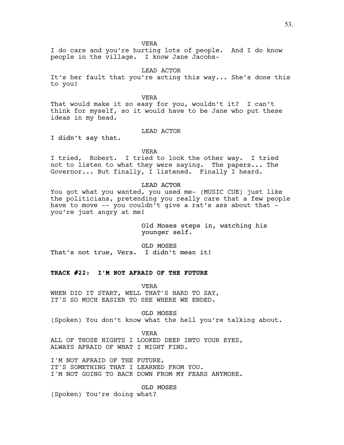VERA

I do care and you're hurting lots of people. And I do know people in the village. I know Jane Jacobs-

LEAD ACTOR

It's her fault that you're acting this way... She's done this to you!

VERA

That would make it so easy for you, wouldn't it? I can't think for myself, so it would have to be Jane who put these ideas in my head.

# LEAD ACTOR

I didn't say that.

VERA

I tried, Robert. I tried to look the other way. I tried not to listen to what they were saying. The papers... The Governor... But finally, I listened. Finally I heard.

LEAD ACTOR

You got what you wanted, you used me- (MUSIC CUE) just like the politicians, pretending you really care that a few people have to move -- you couldn't give a rat's ass about that you're just angry at me!

> Old Moses steps in, watching his younger self.

OLD MOSES That's not true, Vera. I didn't mean it!

# **TRACK #22: I'M NOT AFRAID OF THE FUTURE**

VERA

WHEN DID IT START, WELL THAT'S HARD TO SAY, IT'S SO MUCH EASIER TO SEE WHERE WE ENDED.

OLD MOSES

(Spoken) You don't know what the hell you're talking about.

VERA

ALL OF THOSE NIGHTS I LOOKED DEEP INTO YOUR EYES, ALWAYS AFRAID OF WHAT I MIGHT FIND.

I'M NOT AFRAID OF THE FUTURE, IT'S SOMETHING THAT I LEARNED FROM YOU. I'M NOT GOING TO BACK DOWN FROM MY FEARS ANYMORE.

OLD MOSES

(Spoken) You're doing what?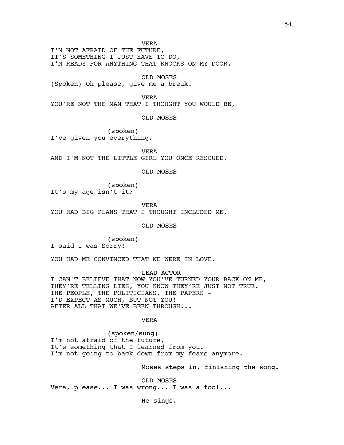VERA

I'M NOT AFRAID OF THE FUTURE, IT'S SOMETHING I JUST HAVE TO DO, I'M READY FOR ANYTHING THAT KNOCKS ON MY DOOR.

OLD MOSES

(Spoken) Oh please, give me a break.

VERA

YOU'RE NOT THE MAN THAT I THOUGHT YOU WOULD BE,

OLD MOSES

(spoken) I've given you everything.

VERA AND I'M NOT THE LITTLE GIRL YOU ONCE RESCUED.

OLD MOSES

(spoken) It's my age isn't it?

VERA YOU HAD BIG PLANS THAT I THOUGHT INCLUDED ME,

OLD MOSES

(spoken)

I said I was Sorry!

YOU HAD ME CONVINCED THAT WE WERE IN LOVE.

LEAD ACTOR

I CAN'T BELIEVE THAT NOW YOU'VE TURNED YOUR BACK ON ME, THEY'RE TELLING LIES, YOU KNOW THEY'RE JUST NOT TRUE. THE PEOPLE, THE POLITICIANS, THE PAPERS -I'D EXPECT AS MUCH, BUT NOT YOU! AFTER ALL THAT WE'VE BEEN THROUGH...

VERA

(spoken/sung) I'm not afraid of the future, It's something that I learned from you. I'm not going to back down from my fears anymore.

Moses steps in, finishing the song.

OLD MOSES Vera, please... I was wrong... I was a fool...

He sings.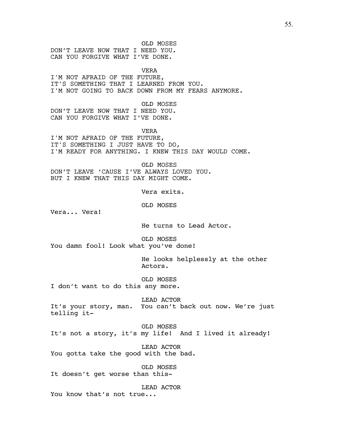OLD MOSES DON'T LEAVE NOW THAT I NEED YOU. CAN YOU FORGIVE WHAT I'VE DONE.

VERA I'M NOT AFRAID OF THE FUTURE, IT'S SOMETHING THAT I LEARNED FROM YOU. I'M NOT GOING TO BACK DOWN FROM MY FEARS ANYMORE.

OLD MOSES DON'T LEAVE NOW THAT I NEED YOU. CAN YOU FORGIVE WHAT I'VE DONE.

VERA I'M NOT AFRAID OF THE FUTURE, IT'S SOMETHING I JUST HAVE TO DO, I'M READY FOR ANYTHING. I KNEW THIS DAY WOULD COME.

OLD MOSES DON'T LEAVE 'CAUSE I'VE ALWAYS LOVED YOU. BUT I KNEW THAT THIS DAY MIGHT COME.

Vera exits.

OLD MOSES

Vera... Vera!

He turns to Lead Actor.

OLD MOSES You damn fool! Look what you've done!

> He looks helplessly at the other Actors.

OLD MOSES I don't want to do this any more.

LEAD ACTOR It's your story, man. You can't back out now. We're just telling it-

OLD MOSES It's not a story, it's my life! And I lived it already!

LEAD ACTOR You gotta take the good with the bad.

OLD MOSES It doesn't get worse than this-

LEAD ACTOR You know that's not true...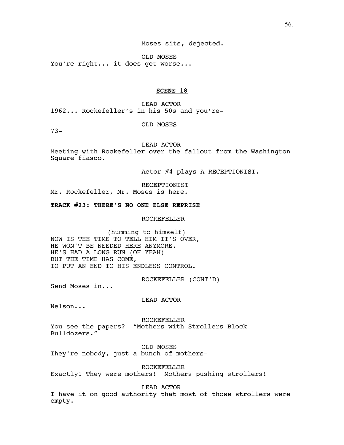56.

Moses sits, dejected.

OLD MOSES You're right... it does get worse...

# **SCENE 18**

LEAD ACTOR 1962... Rockefeller's in his 50s and you're-

OLD MOSES

73-

LEAD ACTOR

Meeting with Rockefeller over the fallout from the Washington Square fiasco.

Actor #4 plays A RECEPTIONIST.

RECEPTIONIST Mr. Rockefeller, Mr. Moses is here.

# **TRACK #23: THERE'S NO ONE ELSE REPRISE**

ROCKEFELLER

(humming to himself) NOW IS THE TIME TO TELL HIM IT'S OVER, HE WON'T BE NEEDED HERE ANYMORE. HE'S HAD A LONG RUN (OH YEAH) BUT THE TIME HAS COME, TO PUT AN END TO HIS ENDLESS CONTROL.

ROCKEFELLER (CONT'D)

Send Moses in...

LEAD ACTOR

Nelson...

ROCKEFELLER You see the papers? "Mothers with Strollers Block Bulldozers."

OLD MOSES

They're nobody, just a bunch of mothers-

ROCKEFELLER Exactly! They were mothers! Mothers pushing strollers!

LEAD ACTOR

I have it on good authority that most of those strollers were empty.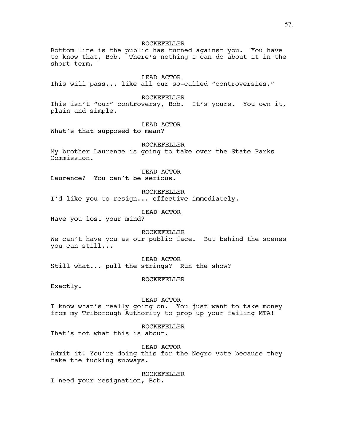ROCKEFELLER Bottom line is the public has turned against you. You have to know that, Bob. There's nothing I can do about it in the short term.

LEAD ACTOR

This will pass... like all our so-called "controversies."

ROCKEFELLER

This isn't "our" controversy, Bob. It's yours. You own it, plain and simple.

LEAD ACTOR

What's that supposed to mean?

ROCKEFELLER

My brother Laurence is going to take over the State Parks Commission.

LEAD ACTOR

Laurence? You can't be serious.

ROCKEFELLER

I'd like you to resign... effective immediately.

LEAD ACTOR

Have you lost your mind?

ROCKEFELLER We can't have you as our public face. But behind the scenes you can still...

LEAD ACTOR Still what... pull the strings? Run the show?

ROCKEFELLER

Exactly.

LEAD ACTOR

I know what's really going on. You just want to take money from my Triborough Authority to prop up your failing MTA!

ROCKEFELLER That's not what this is about.

LEAD ACTOR Admit it! You're doing this for the Negro vote because they take the fucking subways.

ROCKEFELLER

I need your resignation, Bob.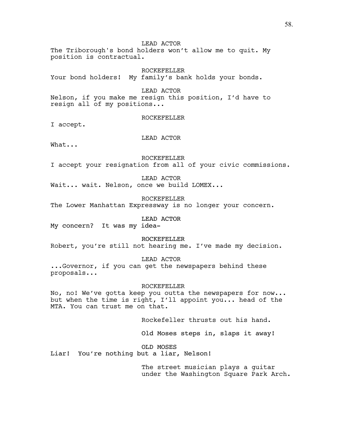LEAD ACTOR The Triborough's bond holders won't allow me to quit. My position is contractual.

ROCKEFELLER Your bond holders! My family's bank holds your bonds.

LEAD ACTOR Nelson, if you make me resign this position, I'd have to resign all of my positions...

ROCKEFELLER

I accept.

LEAD ACTOR

What...

ROCKEFELLER

I accept your resignation from all of your civic commissions.

LEAD ACTOR

Wait... wait. Nelson, once we build LOMEX...

ROCKEFELLER

The Lower Manhattan Expressway is no longer your concern.

LEAD ACTOR

My concern? It was my idea-

ROCKEFELLER

Robert, you're still not hearing me. I've made my decision.

LEAD ACTOR

...Governor, if you can get the newspapers behind these proposals...

ROCKEFELLER

No, no! We've gotta keep you outta the newspapers for now... but when the time is right, I'll appoint you... head of the MTA. You can trust me on that.

Rockefeller thrusts out his hand.

Old Moses steps in, slaps it away!

OLD MOSES

Liar! You're nothing but a liar, Nelson!

The street musician plays a guitar under the Washington Square Park Arch.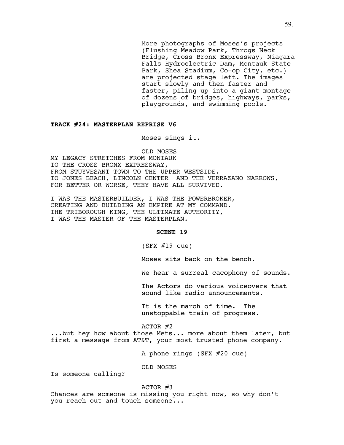More photographs of Moses's projects (Flushing Meadow Park, Throgs Neck Bridge, Cross Bronx Expressway, Niagara Falls Hydroelectric Dam, Montauk State Park, Shea Stadium, Co-op City, etc.) are projected stage left. The images start slowly and then faster and faster, piling up into a giant montage of dozens of bridges, highways, parks, playgrounds, and swimming pools.

## **TRACK #24: MASTERPLAN REPRISE V6**

Moses sings it.

OLD MOSES MY LEGACY STRETCHES FROM MONTAUK TO THE CROSS BRONX EXPRESSWAY, FROM STUYVESANT TOWN TO THE UPPER WESTSIDE. TO JONES BEACH, LINCOLN CENTER AND THE VERRAZANO NARROWS, FOR BETTER OR WORSE, THEY HAVE ALL SURVIVED.

I WAS THE MASTERBUILDER, I WAS THE POWERBROKER, CREATING AND BUILDING AN EMPIRE AT MY COMMAND. THE TRIBOROUGH KING, THE ULTIMATE AUTHORITY, I WAS THE MASTER OF THE MASTERPLAN.

#### **SCENE 19**

 $(SFX #19 cue)$ 

Moses sits back on the bench.

We hear a surreal cacophony of sounds.

The Actors do various voiceovers that sound like radio announcements.

It is the march of time. The unstoppable train of progress.

ACTOR #2

...but hey how about those Mets... more about them later, but first a message from AT&T, your most trusted phone company.

A phone rings (SFX #20 cue)

OLD MOSES

Is someone calling?

ACTOR #3

Chances are someone is missing you right now, so why don't you reach out and touch someone...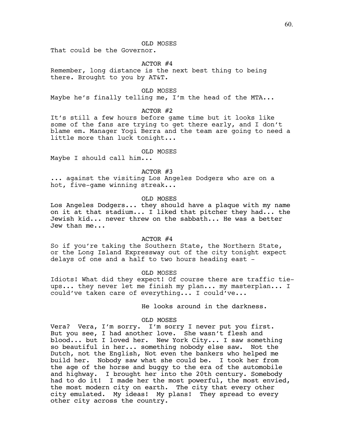OLD MOSES

That could be the Governor.

#### ACTOR #4

Remember, long distance is the next best thing to being there. Brought to you by AT&T.

OLD MOSES

Maybe he's finally telling me, I'm the head of the MTA...

ACTOR #2

It's still a few hours before game time but it looks like some of the fans are trying to get there early, and I don't blame em. Manager Yogi Berra and the team are going to need a little more than luck tonight...

#### OLD MOSES

Maybe I should call him...

# ACTOR #3

... against the visiting Los Angeles Dodgers who are on a hot, five-game winning streak...

#### OLD MOSES

Los Angeles Dodgers... they should have a plaque with my name on it at that stadium... I liked that pitcher they had... the Jewish kid... never threw on the sabbath... He was a better Jew than me...

#### $ACTOR$  #4

So if you're taking the Southern State, the Northern State, or the Long Island Expressway out of the city tonight expect delays of one and a half to two hours heading east -

#### OLD MOSES

Idiots! What did they expect! Of course there are traffic tieups... they never let me finish my plan... my masterplan... I could've taken care of everything... I could've...

He looks around in the darkness.

## OLD MOSES

Vera? Vera, I'm sorry. I'm sorry I never put you first. But you see, I had another love. She wasn't flesh and blood... but I loved her. New York City... I saw something so beautiful in her... something nobody else saw. Not the Dutch, not the English, Not even the bankers who helped me build her. Nobody saw what she could be. I took her from the age of the horse and buggy to the era of the automobile and highway. I brought her into the 20th century. Somebody had to do it! I made her the most powerful, the most envied, the most modern city on earth. The city that every other city emulated. My ideas! My plans! They spread to every other city across the country.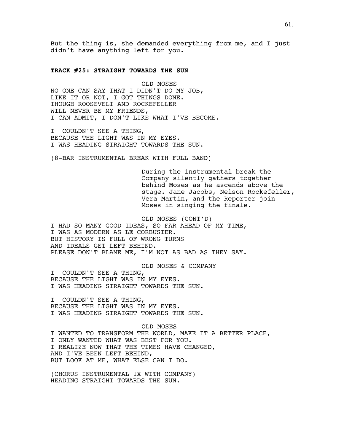But the thing is, she demanded everything from me, and I just didn't have anything left for you.

## **TRACK #25: STRAIGHT TOWARDS THE SUN**

OLD MOSES NO ONE CAN SAY THAT I DIDN'T DO MY JOB, LIKE IT OR NOT, I GOT THINGS DONE. THOUGH ROOSEVELT AND ROCKEFELLER WILL NEVER BE MY FRIENDS, I CAN ADMIT, I DON'T LIKE WHAT I'VE BECOME.

I COULDN'T SEE A THING, BECAUSE THE LIGHT WAS IN MY EYES. I WAS HEADING STRAIGHT TOWARDS THE SUN.

(8-BAR INSTRUMENTAL BREAK WITH FULL BAND)

During the instrumental break the Company silently gathers together behind Moses as he ascends above the stage. Jane Jacobs, Nelson Rockefeller, Vera Martin, and the Reporter join Moses in singing the finale.

OLD MOSES (CONT'D) I HAD SO MANY GOOD IDEAS, SO FAR AHEAD OF MY TIME, I WAS AS MODERN AS LE CORBUSIER. BUT HISTORY IS FULL OF WRONG TURNS AND IDEALS GET LEFT BEHIND. PLEASE DON'T BLAME ME, I'M NOT AS BAD AS THEY SAY.

OLD MOSES & COMPANY

I COULDN'T SEE A THING, BECAUSE THE LIGHT WAS IN MY EYES. I WAS HEADING STRAIGHT TOWARDS THE SUN.

I COULDN'T SEE A THING, BECAUSE THE LIGHT WAS IN MY EYES. I WAS HEADING STRAIGHT TOWARDS THE SUN.

OLD MOSES I WANTED TO TRANSFORM THE WORLD, MAKE IT A BETTER PLACE, I ONLY WANTED WHAT WAS BEST FOR YOU. I REALIZE NOW THAT THE TIMES HAVE CHANGED, AND I'VE BEEN LEFT BEHIND, BUT LOOK AT ME, WHAT ELSE CAN I DO.

(CHORUS INSTRUMENTAL 1X WITH COMPANY) HEADING STRAIGHT TOWARDS THE SUN.